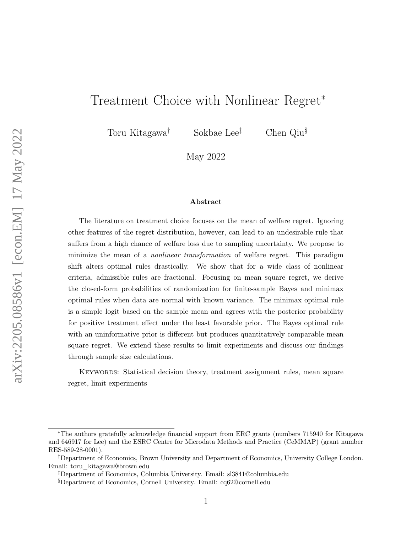# <span id="page-0-0"></span>Treatment Choice with Nonlinear Regret<sup>∗</sup>

Toru Kitagawa† Sokbae Lee‡ Chen Qiu§

May 2022

#### Abstract

The literature on treatment choice focuses on the mean of welfare regret. Ignoring other features of the regret distribution, however, can lead to an undesirable rule that suffers from a high chance of welfare loss due to sampling uncertainty. We propose to minimize the mean of a *nonlinear transformation* of welfare regret. This paradigm shift alters optimal rules drastically. We show that for a wide class of nonlinear criteria, admissible rules are fractional. Focusing on mean square regret, we derive the closed-form probabilities of randomization for finite-sample Bayes and minimax optimal rules when data are normal with known variance. The minimax optimal rule is a simple logit based on the sample mean and agrees with the posterior probability for positive treatment effect under the least favorable prior. The Bayes optimal rule with an uninformative prior is different but produces quantitatively comparable mean square regret. We extend these results to limit experiments and discuss our findings through sample size calculations.

Keywords: Statistical decision theory, treatment assignment rules, mean square regret, limit experiments

<sup>∗</sup>The authors gratefully acknowledge financial support from ERC grants (numbers 715940 for Kitagawa and 646917 for Lee) and the ESRC Centre for Microdata Methods and Practice (CeMMAP) (grant number RES-589-28-0001).

<sup>†</sup>Department of Economics, Brown University and Department of Economics, University College London. Email: toru\_kitagawa@brown.edu

<sup>‡</sup>Department of Economics, Columbia University. Email: sl3841@columbia.edu

<sup>§</sup>Department of Economics, Cornell University. Email: cq62@cornell.edu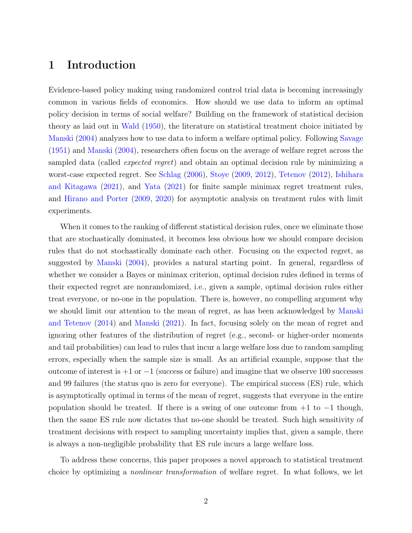# 1 Introduction

Evidence-based policy making using randomized control trial data is becoming increasingly common in various fields of economics. How should we use data to inform an optimal policy decision in terms of social welfare? Building on the framework of statistical decision theory as laid out in [Wald](#page-51-0) [\(1950\)](#page-51-0), the literature on statistical treatment choice initiated by [Manski](#page-51-1) [\(2004\)](#page-51-1) analyzes how to use data to inform a welfare optimal policy. Following [Savage](#page-51-2) [\(1951\)](#page-51-2) and [Manski](#page-51-1) [\(2004\)](#page-51-1), researchers often focus on the average of welfare regret across the sampled data (called *expected regret*) and obtain an optimal decision rule by minimizing a worst-case expected regret. See [Schlag](#page-51-3) [\(2006\)](#page-51-3), [Stoye](#page-51-4) [\(2009,](#page-51-4) [2012\)](#page-51-5), [Tetenov](#page-51-6) [\(2012\)](#page-51-6), [Ishihara](#page-50-0) [and Kitagawa](#page-50-0) [\(2021\)](#page-50-0), and [Yata](#page-51-7) [\(2021\)](#page-51-7) for finite sample minimax regret treatment rules, and [Hirano and Porter](#page-50-1) [\(2009,](#page-50-1) [2020\)](#page-50-2) for asymptotic analysis on treatment rules with limit experiments.

When it comes to the ranking of different statistical decision rules, once we eliminate those that are stochastically dominated, it becomes less obvious how we should compare decision rules that do not stochastically dominate each other. Focusing on the expected regret, as suggested by [Manski](#page-51-1) [\(2004\)](#page-51-1), provides a natural starting point. In general, regardless of whether we consider a Bayes or minimax criterion, optimal decision rules defined in terms of their expected regret are nonrandomized, i.e., given a sample, optimal decision rules either treat everyone, or no-one in the population. There is, however, no compelling argument why we should limit our attention to the mean of regret, as has been acknowledged by [Manski](#page-51-8) [and Tetenov](#page-51-8) [\(2014\)](#page-51-8) and [Manski](#page-51-9) [\(2021\)](#page-51-9). In fact, focusing solely on the mean of regret and ignoring other features of the distribution of regret (e.g., second- or higher-order moments and tail probabilities) can lead to rules that incur a large welfare loss due to random sampling errors, especially when the sample size is small. As an artificial example, suppose that the outcome of interest is  $+1$  or  $-1$  (success or failure) and imagine that we observe 100 successes and 99 failures (the status quo is zero for everyone). The empirical success (ES) rule, which is asymptotically optimal in terms of the mean of regret, suggests that everyone in the entire population should be treated. If there is a swing of one outcome from  $+1$  to  $-1$  though, then the same ES rule now dictates that no-one should be treated. Such high sensitivity of treatment decisions with respect to sampling uncertainty implies that, given a sample, there is always a non-negligible probability that ES rule incurs a large welfare loss.

To address these concerns, this paper proposes a novel approach to statistical treatment choice by optimizing a nonlinear transformation of welfare regret. In what follows, we let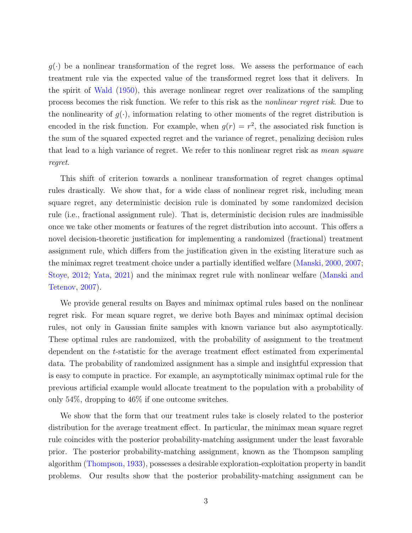$g(\cdot)$  be a nonlinear transformation of the regret loss. We assess the performance of each treatment rule via the expected value of the transformed regret loss that it delivers. In the spirit of [Wald](#page-51-0) [\(1950\)](#page-51-0), this average nonlinear regret over realizations of the sampling process becomes the risk function. We refer to this risk as the nonlinear regret risk. Due to the nonlinearity of  $g(\cdot)$ , information relating to other moments of the regret distribution is encoded in the risk function. For example, when  $g(r) = r^2$ , the associated risk function is the sum of the squared expected regret and the variance of regret, penalizing decision rules that lead to a high variance of regret. We refer to this nonlinear regret risk as mean square regret.

This shift of criterion towards a nonlinear transformation of regret changes optimal rules drastically. We show that, for a wide class of nonlinear regret risk, including mean square regret, any deterministic decision rule is dominated by some randomized decision rule (i.e., fractional assignment rule). That is, deterministic decision rules are inadmissible once we take other moments or features of the regret distribution into account. This offers a novel decision-theoretic justification for implementing a randomized (fractional) treatment assignment rule, which differs from the justification given in the existing literature such as the minimax regret treatment choice under a partially identified welfare [\(Manski,](#page-50-3) [2000,](#page-50-3) [2007;](#page-51-10) [Stoye,](#page-51-5) [2012;](#page-51-5) [Yata,](#page-51-7) [2021\)](#page-51-7) and the minimax regret rule with nonlinear welfare [\(Manski and](#page-51-11) [Tetenov,](#page-51-11) [2007\)](#page-51-11).

We provide general results on Bayes and minimax optimal rules based on the nonlinear regret risk. For mean square regret, we derive both Bayes and minimax optimal decision rules, not only in Gaussian finite samples with known variance but also asymptotically. These optimal rules are randomized, with the probability of assignment to the treatment dependent on the t-statistic for the average treatment effect estimated from experimental data. The probability of randomized assignment has a simple and insightful expression that is easy to compute in practice. For example, an asymptotically minimax optimal rule for the previous artificial example would allocate treatment to the population with a probability of only 54%, dropping to 46% if one outcome switches.

We show that the form that our treatment rules take is closely related to the posterior distribution for the average treatment effect. In particular, the minimax mean square regret rule coincides with the posterior probability-matching assignment under the least favorable prior. The posterior probability-matching assignment, known as the Thompson sampling algorithm [\(Thompson,](#page-51-12) [1933\)](#page-51-12), possesses a desirable exploration-exploitation property in bandit problems. Our results show that the posterior probability-matching assignment can be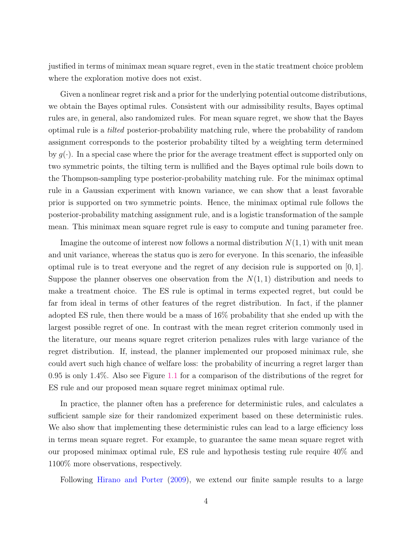justified in terms of minimax mean square regret, even in the static treatment choice problem where the exploration motive does not exist.

Given a nonlinear regret risk and a prior for the underlying potential outcome distributions, we obtain the Bayes optimal rules. Consistent with our admissibility results, Bayes optimal rules are, in general, also randomized rules. For mean square regret, we show that the Bayes optimal rule is a tilted posterior-probability matching rule, where the probability of random assignment corresponds to the posterior probability tilted by a weighting term determined by  $g(\cdot)$ . In a special case where the prior for the average treatment effect is supported only on two symmetric points, the tilting term is nullified and the Bayes optimal rule boils down to the Thompson-sampling type posterior-probability matching rule. For the minimax optimal rule in a Gaussian experiment with known variance, we can show that a least favorable prior is supported on two symmetric points. Hence, the minimax optimal rule follows the posterior-probability matching assignment rule, and is a logistic transformation of the sample mean. This minimax mean square regret rule is easy to compute and tuning parameter free.

Imagine the outcome of interest now follows a normal distribution  $N(1, 1)$  with unit mean and unit variance, whereas the status quo is zero for everyone. In this scenario, the infeasible optimal rule is to treat everyone and the regret of any decision rule is supported on  $[0, 1]$ . Suppose the planner observes one observation from the  $N(1, 1)$  distribution and needs to make a treatment choice. The ES rule is optimal in terms expected regret, but could be far from ideal in terms of other features of the regret distribution. In fact, if the planner adopted ES rule, then there would be a mass of 16% probability that she ended up with the largest possible regret of one. In contrast with the mean regret criterion commonly used in the literature, our means square regret criterion penalizes rules with large variance of the regret distribution. If, instead, the planner implemented our proposed minimax rule, she could avert such high chance of welfare loss: the probability of incurring a regret larger than 0.95 is only 1.4%. Also see Figure [1.1](#page-4-0) for a comparison of the distributions of the regret for ES rule and our proposed mean square regret minimax optimal rule.

In practice, the planner often has a preference for deterministic rules, and calculates a sufficient sample size for their randomized experiment based on these deterministic rules. We also show that implementing these deterministic rules can lead to a large efficiency loss in terms mean square regret. For example, to guarantee the same mean square regret with our proposed minimax optimal rule, ES rule and hypothesis testing rule require 40% and 1100% more observations, respectively.

Following [Hirano and Porter](#page-50-1) [\(2009\)](#page-50-1), we extend our finite sample results to a large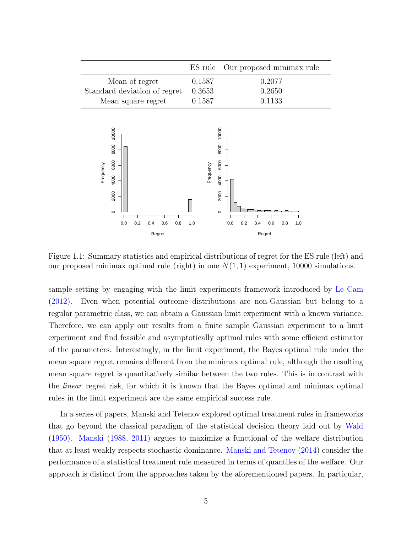|                              |        | ES rule Our proposed minimax rule |
|------------------------------|--------|-----------------------------------|
| Mean of regret               | 0.1587 | 0.2077                            |
| Standard deviation of regret | 0.3653 | 0.2650                            |
| Mean square regret           | 0.1587 | 0.1133                            |
|                              |        |                                   |



<span id="page-4-0"></span>Figure 1.1: Summary statistics and empirical distributions of regret for the ES rule (left) and our proposed minimax optimal rule (right) in one  $N(1, 1)$  experiment, 10000 simulations.

sample setting by engaging with the limit experiments framework introduced by [Le Cam](#page-50-4) [\(2012\)](#page-50-4). Even when potential outcome distributions are non-Gaussian but belong to a regular parametric class, we can obtain a Gaussian limit experiment with a known variance. Therefore, we can apply our results from a finite sample Gaussian experiment to a limit experiment and find feasible and asymptotically optimal rules with some efficient estimator of the parameters. Interestingly, in the limit experiment, the Bayes optimal rule under the mean square regret remains different from the minimax optimal rule, although the resulting mean square regret is quantitatively similar between the two rules. This is in contrast with the linear regret risk, for which it is known that the Bayes optimal and minimax optimal rules in the limit experiment are the same empirical success rule.

In a series of papers, Manski and Tetenov explored optimal treatment rules in frameworks that go beyond the classical paradigm of the statistical decision theory laid out by [Wald](#page-51-0) [\(1950\)](#page-51-0). [Manski](#page-50-5) [\(1988,](#page-50-5) [2011\)](#page-51-13) argues to maximize a functional of the welfare distribution that at least weakly respects stochastic dominance. [Manski and Tetenov](#page-51-8) [\(2014\)](#page-51-8) consider the performance of a statistical treatment rule measured in terms of quantiles of the welfare. Our approach is distinct from the approaches taken by the aforementioned papers. In particular,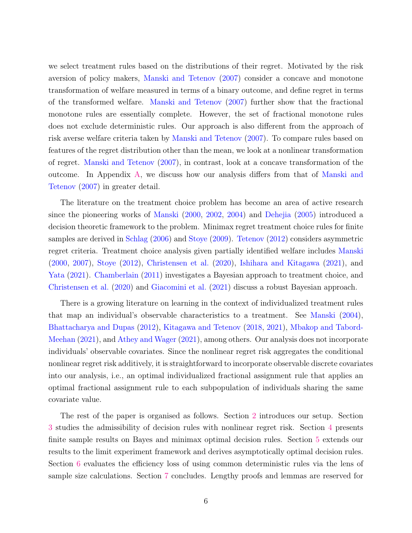we select treatment rules based on the distributions of their regret. Motivated by the risk aversion of policy makers, [Manski and Tetenov](#page-51-11) [\(2007\)](#page-51-11) consider a concave and monotone transformation of welfare measured in terms of a binary outcome, and define regret in terms of the transformed welfare. [Manski and Tetenov](#page-51-11) [\(2007\)](#page-51-11) further show that the fractional monotone rules are essentially complete. However, the set of fractional monotone rules does not exclude deterministic rules. Our approach is also different from the approach of risk averse welfare criteria taken by [Manski and Tetenov](#page-51-11) [\(2007\)](#page-51-11). To compare rules based on features of the regret distribution other than the mean, we look at a nonlinear transformation of regret. [Manski and Tetenov](#page-51-11) [\(2007\)](#page-51-11), in contrast, look at a concave transformation of the outcome. In Appendix [A,](#page-28-0) we discuss how our analysis differs from that of [Manski and](#page-51-11) [Tetenov](#page-51-11) [\(2007\)](#page-51-11) in greater detail.

The literature on the treatment choice problem has become an area of active research since the pioneering works of [Manski](#page-50-3) [\(2000,](#page-50-3) [2002,](#page-51-14) [2004\)](#page-51-1) and [Dehejia](#page-50-6) [\(2005\)](#page-50-6) introduced a decision theoretic framework to the problem. Minimax regret treatment choice rules for finite samples are derived in [Schlag](#page-51-3) [\(2006\)](#page-51-3) and [Stoye](#page-51-4) [\(2009\)](#page-51-4). [Tetenov](#page-51-6) [\(2012\)](#page-51-6) considers asymmetric regret criteria. Treatment choice analysis given partially identified welfare includes [Manski](#page-50-3) [\(2000,](#page-50-3) [2007\)](#page-51-10), [Stoye](#page-51-5) [\(2012\)](#page-51-5), [Christensen et al.](#page-50-7) [\(2020\)](#page-50-7), [Ishihara and Kitagawa](#page-50-0) [\(2021\)](#page-50-0), and [Yata](#page-51-7) [\(2021\)](#page-51-7). [Chamberlain](#page-49-0) [\(2011\)](#page-49-0) investigates a Bayesian approach to treatment choice, and [Christensen et al.](#page-50-7) [\(2020\)](#page-50-7) and [Giacomini et al.](#page-50-8) [\(2021\)](#page-50-8) discuss a robust Bayesian approach.

There is a growing literature on learning in the context of individualized treatment rules that map an individual's observable characteristics to a treatment. See [Manski](#page-51-1) [\(2004\)](#page-51-1), [Bhattacharya and Dupas](#page-49-1) [\(2012\)](#page-49-1), [Kitagawa and Tetenov](#page-50-9) [\(2018,](#page-50-9) [2021\)](#page-50-10), [Mbakop and Tabord-](#page-51-15)[Meehan](#page-51-15) [\(2021\)](#page-51-15), and [Athey and Wager](#page-49-2) [\(2021\)](#page-49-2), among others. Our analysis does not incorporate individuals' observable covariates. Since the nonlinear regret risk aggregates the conditional nonlinear regret risk additively, it is straightforward to incorporate observable discrete covariates into our analysis, i.e., an optimal individualized fractional assignment rule that applies an optimal fractional assignment rule to each subpopulation of individuals sharing the same covariate value.

The rest of the paper is organised as follows. Section [2](#page-6-0) introduces our setup. Section [3](#page-8-0) studies the admissibility of decision rules with nonlinear regret risk. Section [4](#page-10-0) presents finite sample results on Bayes and minimax optimal decision rules. Section [5](#page-17-0) extends our results to the limit experiment framework and derives asymptotically optimal decision rules. Section [6](#page-25-0) evaluates the efficiency loss of using common deterministic rules via the lens of sample size calculations. Section [7](#page-28-1) concludes. Lengthy proofs and lemmas are reserved for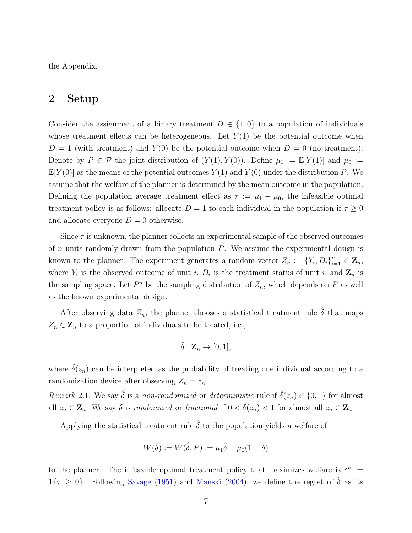the Appendix.

### <span id="page-6-0"></span>2 Setup

Consider the assignment of a binary treatment  $D \in \{1,0\}$  to a population of individuals whose treatment effects can be heterogeneous. Let  $Y(1)$  be the potential outcome when  $D = 1$  (with treatment) and  $Y(0)$  be the potential outcome when  $D = 0$  (no treatment). Denote by  $P \in \mathcal{P}$  the joint distribution of  $(Y(1), Y(0))$ . Define  $\mu_1 := \mathbb{E}[Y(1)]$  and  $\mu_0 :=$  $\mathbb{E}[Y(0)]$  as the means of the potential outcomes  $Y(1)$  and  $Y(0)$  under the distribution P. We assume that the welfare of the planner is determined by the mean outcome in the population. Defining the population average treatment effect as  $\tau := \mu_1 - \mu_0$ , the infeasible optimal treatment policy is as follows: allocate  $D = 1$  to each individual in the population if  $\tau \geq 0$ and allocate everyone  $D = 0$  otherwise.

Since  $\tau$  is unknown, the planner collects an experimental sample of the observed outcomes of  $n$  units randomly drawn from the population  $P$ . We assume the experimental design is known to the planner. The experiment generates a random vector  $Z_n := \{Y_i, D_i\}_{i=1}^n \in \mathbb{Z}_n$ , where  $Y_i$  is the observed outcome of unit i,  $D_i$  is the treatment status of unit i, and  $\mathbf{Z}_n$  is the sampling space. Let  $P^n$  be the sampling distribution of  $Z_n$ , which depends on P as well as the known experimental design.

After observing data  $Z_n$ , the planner chooses a statistical treatment rule  $\hat{\delta}$  that maps  $Z_n \in \mathbf{Z}_n$  to a proportion of individuals to be treated, i.e.,

$$
\hat{\delta}: \mathbf{Z}_n \to [0,1],
$$

where  $\hat{\delta}(z_n)$  can be interpreted as the probability of treating one individual according to a randomization device after observing  $Z_n = z_n$ .

Remark 2.1. We say  $\hat{\delta}$  is a non-randomized or deterministic rule if  $\hat{\delta}(z_n) \in \{0,1\}$  for almost all  $z_n \in \mathbf{Z}_n$ . We say  $\hat{\delta}$  is *randomized* or *fractional* if  $0 < \hat{\delta}(z_n) < 1$  for almost all  $z_n \in \mathbf{Z}_n$ .

Applying the statistical treatment rule  $\hat{\delta}$  to the population yields a welfare of

$$
W(\hat{\delta}) := W(\hat{\delta}, P) := \mu_1 \hat{\delta} + \mu_0 (1 - \hat{\delta})
$$

to the planner. The infeasible optimal treatment policy that maximizes welfare is  $\delta^* :=$  $1\{\tau \geq 0\}$ . Following [Savage](#page-51-2) [\(1951\)](#page-51-2) and [Manski](#page-51-1) [\(2004\)](#page-51-1), we define the regret of  $\hat{\delta}$  as its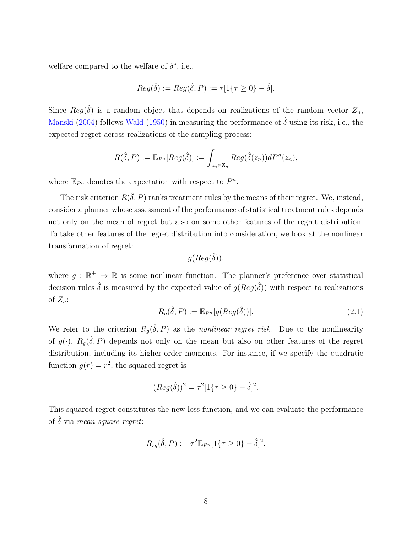welfare compared to the welfare of  $\delta^*$ , i.e.,

$$
Reg(\hat{\delta}) := Reg(\hat{\delta}, P) := \tau[1\{\tau \ge 0\} - \hat{\delta}].
$$

Since  $Reg(\hat{\delta})$  is a random object that depends on realizations of the random vector  $Z_n$ , [Manski](#page-51-1) [\(2004\)](#page-51-1) follows [Wald](#page-51-0) [\(1950\)](#page-51-0) in measuring the performance of  $\hat{\delta}$  using its risk, i.e., the expected regret across realizations of the sampling process:

$$
R(\hat{\delta}, P) := \mathbb{E}_{P^n}[Reg(\hat{\delta})] := \int_{z_n \in \mathbf{Z}_n} Reg(\hat{\delta}(z_n))dP^n(z_n),
$$

where  $\mathbb{E}_{P^n}$  denotes the expectation with respect to  $P^n$ .

The risk criterion  $R(\hat{\delta}, P)$  ranks treatment rules by the means of their regret. We, instead, consider a planner whose assessment of the performance of statistical treatment rules depends not only on the mean of regret but also on some other features of the regret distribution. To take other features of the regret distribution into consideration, we look at the nonlinear transformation of regret:

$$
g(Reg(\hat{\delta})),
$$

where  $g : \mathbb{R}^+ \to \mathbb{R}$  is some nonlinear function. The planner's preference over statistical decision rules  $\hat{\delta}$  is measured by the expected value of  $g(Reg(\hat{\delta}))$  with respect to realizations of  $Z_n$ :

<span id="page-7-0"></span>
$$
R_g(\hat{\delta}, P) := \mathbb{E}_{P^n}[g(\text{Reg}(\hat{\delta}))]. \tag{2.1}
$$

We refer to the criterion  $R_g(\hat{\delta}, P)$  as the nonlinear regret risk. Due to the nonlinearity of  $g(\cdot)$ ,  $R_g(\hat{\delta}, P)$  depends not only on the mean but also on other features of the regret distribution, including its higher-order moments. For instance, if we specify the quadratic function  $g(r) = r^2$ , the squared regret is

$$
(Reg(\hat{\delta}))^2 = \tau^2 [1\{\tau \ge 0\} - \hat{\delta}]^2.
$$

This squared regret constitutes the new loss function, and we can evaluate the performance of  $\hat{\delta}$  via *mean square regret*:

$$
R_{sq}(\hat{\delta}, P) := \tau^2 \mathbb{E}_{P^n} [1\{\tau \ge 0\} - \hat{\delta}]^2.
$$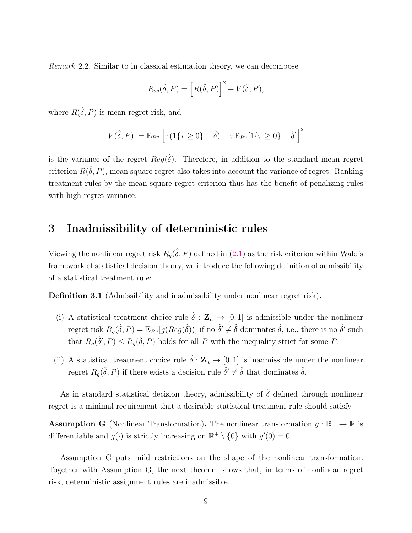Remark 2.2. Similar to in classical estimation theory, we can decompose

$$
R_{sq}(\hat{\delta}, P) = [R(\hat{\delta}, P)]^2 + V(\hat{\delta}, P),
$$

where  $R(\hat{\delta}, P)$  is mean regret risk, and

$$
V(\hat{\delta}, P) := \mathbb{E}_{P^n} \left[ \tau(1\{\tau \ge 0\} - \hat{\delta}) - \tau \mathbb{E}_{P^n} [1\{\tau \ge 0\} - \hat{\delta}] \right]^2
$$

is the variance of the regret  $Reg(\hat{\delta})$ . Therefore, in addition to the standard mean regret criterion  $R(\hat{\delta}, P)$ , mean square regret also takes into account the variance of regret. Ranking treatment rules by the mean square regret criterion thus has the benefit of penalizing rules with high regret variance.

### <span id="page-8-0"></span>3 Inadmissibility of deterministic rules

Viewing the nonlinear regret risk  $R_g(\hat{\delta}, P)$  defined in [\(2.1\)](#page-7-0) as the risk criterion within Wald's framework of statistical decision theory, we introduce the following definition of admissibility of a statistical treatment rule:

Definition 3.1 (Admissibility and inadmissibility under nonlinear regret risk).

- (i) A statistical treatment choice rule  $\hat{\delta} : \mathbf{Z}_n \to [0,1]$  is admissible under the nonlinear regret risk  $R_g(\hat{\delta}, P) = \mathbb{E}_{P^n}[g(Reg(\hat{\delta}))]$  if no  $\hat{\delta}' \neq \hat{\delta}$  dominates  $\hat{\delta}$ , i.e., there is no  $\hat{\delta}'$  such that  $R_g(\hat{\delta}', P) \leq R_g(\hat{\delta}, P)$  holds for all P with the inequality strict for some P.
- (ii) A statistical treatment choice rule  $\hat{\delta}: \mathbf{Z}_n \to [0,1]$  is inadmissible under the nonlinear regret  $R_g(\hat{\delta}, P)$  if there exists a decision rule  $\hat{\delta}' \neq \hat{\delta}$  that dominates  $\hat{\delta}$ .

As in standard statistical decision theory, admissibility of  $\hat{\delta}$  defined through nonlinear regret is a minimal requirement that a desirable statistical treatment rule should satisfy.

**Assumption G** (Nonlinear Transformation). The nonlinear transformation  $g : \mathbb{R}^+ \to \mathbb{R}$  is differentiable and  $g(\cdot)$  is strictly increasing on  $\mathbb{R}^+ \setminus \{0\}$  with  $g'(0) = 0$ .

Assumption G puts mild restrictions on the shape of the nonlinear transformation. Together with Assumption G, the next theorem shows that, in terms of nonlinear regret risk, deterministic assignment rules are inadmissible.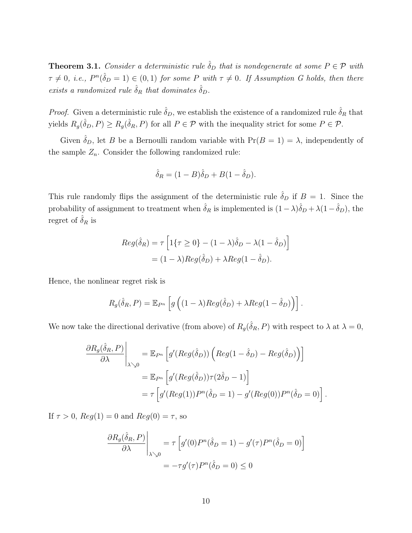**Theorem 3.1.** Consider a deterministic rule  $\hat{\delta}_D$  that is nondegenerate at some  $P \in \mathcal{P}$  with  $\tau \neq 0$ , i.e.,  $P^n(\hat{\delta}_D = 1) \in (0,1)$  for some P with  $\tau \neq 0$ . If Assumption G holds, then there exists a randomized rule  $\hat{\delta}_R$  that dominates  $\hat{\delta}_D$ .

*Proof.* Given a deterministic rule  $\hat{\delta}_D$ , we establish the existence of a randomized rule  $\hat{\delta}_R$  that yields  $R_g(\hat{\delta}_D, P) \ge R_g(\hat{\delta}_R, P)$  for all  $P \in \mathcal{P}$  with the inequality strict for some  $P \in \mathcal{P}$ .

Given  $\hat{\delta}_D$ , let B be a Bernoulli random variable with  $Pr(B = 1) = \lambda$ , independently of the sample  $Z_n$ . Consider the following randomized rule:

$$
\hat{\delta}_R = (1 - B)\hat{\delta}_D + B(1 - \hat{\delta}_D).
$$

This rule randomly flips the assignment of the deterministic rule  $\hat{\delta}_D$  if  $B = 1$ . Since the probability of assignment to treatment when  $\hat{\delta}_R$  is implemented is  $(1-\lambda)\hat{\delta}_D + \lambda(1-\hat{\delta}_D)$ , the regret of  $\hat{\delta}_R$  is

$$
Reg(\hat{\delta}_R) = \tau \left[ 1\{\tau \ge 0\} - (1 - \lambda)\hat{\delta}_D - \lambda(1 - \hat{\delta}_D) \right]
$$

$$
= (1 - \lambda)Reg(\hat{\delta}_D) + \lambda Reg(1 - \hat{\delta}_D).
$$

Hence, the nonlinear regret risk is

$$
R_g(\hat{\delta}_R, P) = \mathbb{E}_{P^n} \left[ g \left( (1 - \lambda) Reg(\hat{\delta}_D) + \lambda Reg(1 - \hat{\delta}_D) \right) \right].
$$

We now take the directional derivative (from above) of  $R_g(\hat{\delta}_R, P)$  with respect to  $\lambda$  at  $\lambda = 0$ ,

$$
\frac{\partial R_g(\hat{\delta}_R, P)}{\partial \lambda} \bigg|_{\lambda \searrow 0} = \mathbb{E}_{P^n} \left[ g'(Reg(\hat{\delta}_D)) \left( Reg(1 - \hat{\delta}_D) - Reg(\hat{\delta}_D) \right) \right]
$$
  
\n
$$
= \mathbb{E}_{P^n} \left[ g'(Reg(\hat{\delta}_D)) \tau(2\hat{\delta}_D - 1) \right]
$$
  
\n
$$
= \tau \left[ g'(Reg(1)) P^n(\hat{\delta}_D = 1) - g'(Reg(0)) P^n(\hat{\delta}_D = 0) \right].
$$

If  $\tau > 0$ ,  $Reg(1) = 0$  and  $Reg(0) = \tau$ , so

$$
\frac{\partial R_g(\hat{\delta}_R, P)}{\partial \lambda} \bigg|_{\lambda \searrow 0} = \tau \left[ g'(0) P^n(\hat{\delta}_D = 1) - g'(\tau) P^n(\hat{\delta}_D = 0) \right]
$$

$$
= -\tau g'(\tau) P^n(\hat{\delta}_D = 0) \le 0
$$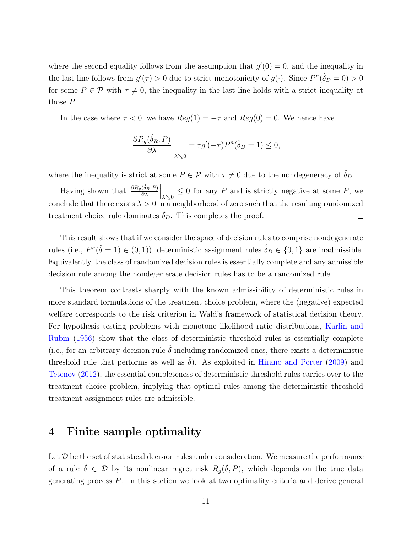where the second equality follows from the assumption that  $g'(0) = 0$ , and the inequality in the last line follows from  $g'(\tau) > 0$  due to strict monotonicity of  $g(\cdot)$ . Since  $P^n(\hat{\delta}_D = 0) > 0$ for some  $P \in \mathcal{P}$  with  $\tau \neq 0$ , the inequality in the last line holds with a strict inequality at those P.

In the case where  $\tau < 0$ , we have  $Reg(1) = -\tau$  and  $Reg(0) = 0$ . We hence have

$$
\left. \frac{\partial R_g(\hat{\delta}_R, P)}{\partial \lambda} \right|_{\lambda \searrow 0} = \tau g'(-\tau) P^n(\hat{\delta}_D = 1) \le 0,
$$

where the inequality is strict at some  $P \in \mathcal{P}$  with  $\tau \neq 0$  due to the nondegeneracy of  $\hat{\delta}_D$ .

Having shown that  $\frac{\partial R_g(\hat{\delta}_R, P)}{\partial \lambda}$  $\Big|_{\lambda\searrow0} \leq 0$  for any P and is strictly negative at some P, we conclude that there exists  $\lambda > 0$  in a neighborhood of zero such that the resulting randomized treatment choice rule dominates  $\delta_D$ . This completes the proof.  $\Box$ 

This result shows that if we consider the space of decision rules to comprise nondegenerate rules (i.e.,  $P^n(\hat{\delta} = 1) \in (0, 1)$ ), deterministic assignment rules  $\hat{\delta}_D \in \{0, 1\}$  are inadmissible. Equivalently, the class of randomized decision rules is essentially complete and any admissible decision rule among the nondegenerate decision rules has to be a randomized rule.

This theorem contrasts sharply with the known admissibility of deterministic rules in more standard formulations of the treatment choice problem, where the (negative) expected welfare corresponds to the risk criterion in Wald's framework of statistical decision theory. For hypothesis testing problems with monotone likelihood ratio distributions, [Karlin and](#page-50-11) [Rubin](#page-50-11) [\(1956\)](#page-50-11) show that the class of deterministic threshold rules is essentially complete (i.e., for an arbitrary decision rule  $\hat{\delta}$  including randomized ones, there exists a deterministic threshold rule that performs as well as  $\hat{\delta}$ ). As exploited in [Hirano and Porter](#page-50-1) [\(2009\)](#page-50-1) and [Tetenov](#page-51-6) [\(2012\)](#page-51-6), the essential completeness of deterministic threshold rules carries over to the treatment choice problem, implying that optimal rules among the deterministic threshold treatment assignment rules are admissible.

# <span id="page-10-0"></span>4 Finite sample optimality

Let  $D$  be the set of statistical decision rules under consideration. We measure the performance of a rule  $\hat{\delta} \in \mathcal{D}$  by its nonlinear regret risk  $R_g(\hat{\delta}, P)$ , which depends on the true data generating process P. In this section we look at two optimality criteria and derive general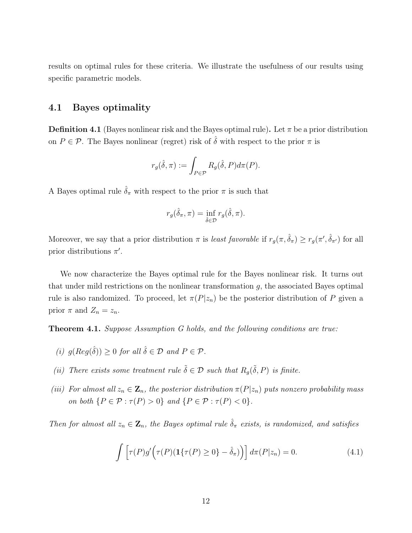results on optimal rules for these criteria. We illustrate the usefulness of our results using specific parametric models.

#### 4.1 Bayes optimality

**Definition 4.1** (Bayes nonlinear risk and the Bayes optimal rule). Let  $\pi$  be a prior distribution on  $P \in \mathcal{P}$ . The Bayes nonlinear (regret) risk of  $\hat{\delta}$  with respect to the prior  $\pi$  is

$$
r_g(\hat{\delta}, \pi) := \int_{P \in \mathcal{P}} R_g(\hat{\delta}, P) d\pi(P).
$$

A Bayes optimal rule  $\hat{\delta}_{\pi}$  with respect to the prior  $\pi$  is such that

$$
r_g(\hat{\delta}_{\pi}, \pi) = \inf_{\hat{\delta} \in \mathcal{D}} r_g(\hat{\delta}, \pi).
$$

Moreover, we say that a prior distribution  $\pi$  is least favorable if  $r_g(\pi, \hat{\delta}_{\pi}) \ge r_g(\pi', \hat{\delta}_{\pi'})$  for all prior distributions  $\pi'$ .

We now characterize the Bayes optimal rule for the Bayes nonlinear risk. It turns out that under mild restrictions on the nonlinear transformation g, the associated Bayes optimal rule is also randomized. To proceed, let  $\pi(P|z_n)$  be the posterior distribution of P given a prior  $\pi$  and  $Z_n = z_n$ .

<span id="page-11-1"></span>**Theorem 4.1.** Suppose Assumption G holds, and the following conditions are true:

- (i)  $g(Reg(\hat{\delta})) \geq 0$  for all  $\hat{\delta} \in \mathcal{D}$  and  $P \in \mathcal{P}$ .
- (ii) There exists some treatment rule  $\tilde{\delta} \in \mathcal{D}$  such that  $R_g(\tilde{\delta}, P)$  is finite.
- (iii) For almost all  $z_n \in \mathbf{Z}_n$ , the posterior distribution  $\pi(P|z_n)$  puts nonzero probability mass on both  $\{P \in \mathcal{P} : \tau(P) > 0\}$  and  $\{P \in \mathcal{P} : \tau(P) < 0\}.$

Then for almost all  $z_n \in \mathbf{Z}_n$ , the Bayes optimal rule  $\hat{\delta}_{\pi}$  exists, is randomized, and satisfies

<span id="page-11-0"></span>
$$
\int \left[ \tau(P)g'\Big(\tau(P)(\mathbf{1}\{\tau(P)\geq 0\} - \hat{\delta}_{\pi})\Big) \right] d\pi(P|z_n) = 0.
$$
\n(4.1)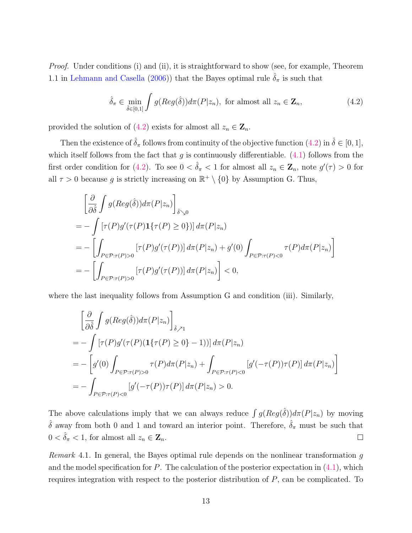Proof. Under conditions (i) and (ii), it is straightforward to show (see, for example, Theorem 1.1 in [Lehmann and Casella](#page-50-12) [\(2006\)](#page-50-12)) that the Bayes optimal rule  $\hat{\delta}_{\pi}$  is such that

<span id="page-12-0"></span>
$$
\hat{\delta}_{\pi} \in \min_{\hat{\delta} \in [0,1]} \int g(Reg(\hat{\delta})) d\pi(P|z_n), \text{ for almost all } z_n \in \mathbf{Z}_n,
$$
\n(4.2)

provided the solution of [\(4.2\)](#page-12-0) exists for almost all  $z_n \in \mathbf{Z}_n$ .

Then the existence of  $\hat{\delta}_{\pi}$  follows from continuity of the objective function  $(4.2)$  in  $\hat{\delta} \in [0, 1]$ , which itself follows from the fact that  $g$  is continuously differentiable. [\(4.1\)](#page-11-0) follows from the first order condition for [\(4.2\)](#page-12-0). To see  $0 < \hat{\delta}_{\pi} < 1$  for almost all  $z_n \in \mathbf{Z}_n$ , note  $g'(\tau) > 0$  for all  $\tau > 0$  because g is strictly increasing on  $\mathbb{R}^+ \setminus \{0\}$  by Assumption G. Thus,

$$
\begin{aligned}\n&\left[\frac{\partial}{\partial \hat{\delta}} \int g(Reg(\hat{\delta})) d\pi(P|z_n)\right]_{\hat{\delta}\searrow 0} \\
&= -\int \left[\tau(P)g'(\tau(P)\mathbf{1}\{\tau(P)\ge 0\})\right] d\pi(P|z_n) \\
&= -\left[\int_{P \in \mathcal{P}:\tau(P)>0} \left[\tau(P)g'(\tau(P))\right] d\pi(P|z_n) + g'(0) \int_{P \in \mathcal{P}:\tau(P)<0} \tau(P) d\pi(P|z_n)\right] \\
&= -\left[\int_{P \in \mathcal{P}:\tau(P)>0} \left[\tau(P)g'(\tau(P))\right] d\pi(P|z_n)\right] < 0,\n\end{aligned}
$$

where the last inequality follows from Assumption G and condition (iii). Similarly,

$$
\begin{split}\n&\left[\frac{\partial}{\partial \hat{\delta}} \int g(Reg(\hat{\delta})) d\pi(P|z_n)\right]_{\hat{\delta},\lambda_1} \\
&= -\int \left[\tau(P)g'(\tau(P)(\mathbf{1}\{\tau(P)\geq 0\}-1))\right] d\pi(P|z_n) \\
&= -\left[g'(0) \int_{P \in \mathcal{P}:\tau(P)>0} \tau(P) d\pi(P|z_n) + \int_{P \in \mathcal{P}:\tau(P)<0} \left[g'(-\tau(P))\tau(P)\right] d\pi(P|z_n)\right] \\
&= -\int_{P \in \mathcal{P}:\tau(P)<0} \left[g'(-\tau(P))\tau(P)\right] d\pi(P|z_n) > 0.\n\end{split}
$$

The above calculations imply that we can always reduce  $\int g(Reg(\hat{\delta}))d\pi(P|z_n)$  by moving  $\hat{\delta}$  away from both 0 and 1 and toward an interior point. Therefore,  $\hat{\delta}_{\pi}$  must be such that  $0 < \hat{\delta}_{\pi} < 1$ , for almost all  $z_n \in \mathbf{Z}_n$ .  $\Box$ 

Remark 4.1. In general, the Bayes optimal rule depends on the nonlinear transformation g and the model specification for P. The calculation of the posterior expectation in  $(4.1)$ , which requires integration with respect to the posterior distribution of P, can be complicated. To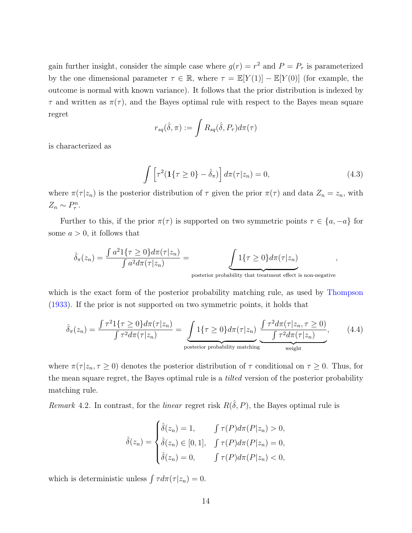gain further insight, consider the simple case where  $g(r) = r^2$  and  $P = P<sub>\tau</sub>$  is parameterized by the one dimensional parameter  $\tau \in \mathbb{R}$ , where  $\tau = \mathbb{E}[Y(1)] - \mathbb{E}[Y(0)]$  (for example, the outcome is normal with known variance). It follows that the prior distribution is indexed by  $\tau$  and written as  $\pi(\tau)$ , and the Bayes optimal rule with respect to the Bayes mean square regret

$$
r_{sq}(\hat{\delta}, \pi) := \int R_{sq}(\hat{\delta}, P_{\tau}) d\pi(\tau)
$$

is characterized as

$$
\int \left[ \tau^2 (\mathbf{1}\{\tau \ge 0\} - \hat{\delta}_\pi) \right] d\pi(\tau | z_n) = 0, \tag{4.3}
$$

,

where  $\pi(\tau | z_n)$  is the posterior distribution of  $\tau$  given the prior  $\pi(\tau)$  and data  $Z_n = z_n$ , with  $Z_n \sim P_\tau^n$ .

Further to this, if the prior  $\pi(\tau)$  is supported on two symmetric points  $\tau \in \{a, -a\}$  for some  $a > 0$ , it follows that

$$
\hat{\delta}_{\pi}(z_n) = \frac{\int a^2 1\{\tau \ge 0\} d\pi(\tau | z_n)}{\int a^2 d\pi(\tau | z_n)} = \underbrace{\int 1\{\tau \ge 0\} d\pi(\tau | z_n)}_{\text{posterior probability that treatment effect is non-negative}}
$$

which is the exact form of the posterior probability matching rule, as used by [Thompson](#page-51-12) [\(1933\)](#page-51-12). If the prior is not supported on two symmetric points, it holds that

<span id="page-13-0"></span>
$$
\hat{\delta}_{\pi}(z_n) = \frac{\int \tau^2 1\{\tau \ge 0\} d\pi(\tau | z_n)}{\int \tau^2 d\pi(\tau | z_n)} = \underbrace{\int 1\{\tau \ge 0\} d\pi(\tau | z_n)}_{\text{posterior probability matching}} \underbrace{\frac{\int \tau^2 d\pi(\tau | z_n, \tau \ge 0)}{\int \tau^2 d\pi(\tau | z_n)}}_{\text{weight}},\tag{4.4}
$$

where  $\pi(\tau | z_n, \tau \geq 0)$  denotes the posterior distribution of  $\tau$  conditional on  $\tau \geq 0$ . Thus, for the mean square regret, the Bayes optimal rule is a tilted version of the posterior probability matching rule.

Remark 4.2. In contrast, for the linear regret risk  $R(\hat{\delta}, P)$ , the Bayes optimal rule is

$$
\hat{\delta}(z_n) = \begin{cases}\n\hat{\delta}(z_n) = 1, & \int \tau(P)d\pi(P|z_n) > 0, \\
\hat{\delta}(z_n) \in [0, 1], & \int \tau(P)d\pi(P|z_n) = 0, \\
\hat{\delta}(z_n) = 0, & \int \tau(P)d\pi(P|z_n) < 0,\n\end{cases}
$$

which is deterministic unless  $\int \tau d\pi(\tau | z_n) = 0$ .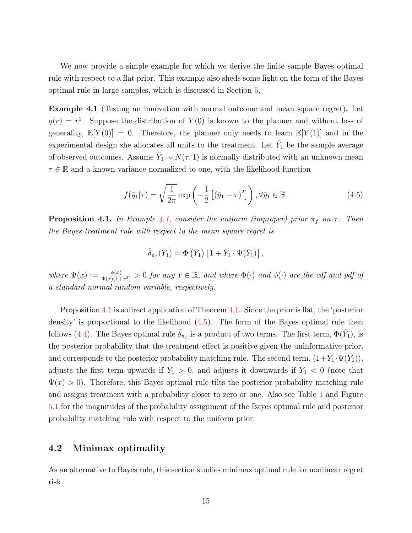We now provide a simple example for which we derive the finite sample Bayes optimal rule with respect to a flat prior. This example also sheds some light on the form of the Bayes optimal rule in large samples, which is discussed in Section [5.](#page-17-0)

<span id="page-14-0"></span>Example 4.1 (Testing an innovation with normal outcome and mean square regret). Let  $g(r) = r^2$ . Suppose the distribution of  $Y(0)$  is known to the planner and without loss of generality,  $\mathbb{E}[Y(0)] = 0$ . Therefore, the planner only needs to learn  $\mathbb{E}[Y(1)]$  and in the experimental design she allocates all units to the treatment. Let  $\bar{Y}_1$  be the sample average of observed outcomes. Assume  $\bar{Y}_1 \sim N(\tau, 1)$  is normally distributed with an unknown mean  $\tau \in \mathbb{R}$  and a known variance normalized to one, with the likelihood function

<span id="page-14-2"></span>
$$
f(\bar{y}_1|\tau) = \sqrt{\frac{1}{2\pi}} \exp\left(-\frac{1}{2}\left[\left(\bar{y}_1 - \tau\right)^2\right]\right), \forall \bar{y}_1 \in \mathbb{R}.\tag{4.5}
$$

<span id="page-14-1"></span>**Proposition 4.1.** In Example [4.1,](#page-14-0) consider the uniform (improper) prior  $\pi_f$  on  $\tau$ . Then the Bayes treatment rule with respect to the mean square regret is

$$
\hat{\delta}_{\pi_f}(\bar{Y}_1) = \Phi\left(\bar{Y}_1\right) \left[1 + \bar{Y}_1 \cdot \Psi(\bar{Y}_1)\right],
$$

where  $\Psi(x) := \frac{\phi(x)}{\Phi(x)(1+x^2)} > 0$  for any  $x \in \mathbb{R}$ , and where  $\Phi(\cdot)$  and  $\phi(\cdot)$  are the cdf and pdf of a standard normal random variable, respectively.

Proposition [4.1](#page-14-1) is a direct application of Theorem [4.1.](#page-11-1) Since the prior is flat, the 'posterior density' is proportional to the likelihood [\(4.5\)](#page-14-2). The form of the Bayes optimal rule then follows [\(4.4\)](#page-13-0). The Bayes optimal rule  $\hat{\delta}_{\pi_f}$  is a product of two terms. The first term,  $\Phi(\bar{Y}_1)$ , is the posterior probability that the treatment effect is positive given the uninformative prior, and corresponds to the posterior probability matching rule. The second term,  $(1+\bar{Y}_1 \cdot \Psi(\bar{Y}_1)),$ adjusts the first term upwards if  $\bar{Y}_1 > 0$ , and adjusts it downwards if  $\bar{Y}_1 < 0$  (note that  $\Psi(x) > 0$ . Therefore, this Bayes optimal rule tilts the posterior probability matching rule and assigns treatment with a probability closer to zero or one. Also see Table [1](#page-25-1) and Figure [5.1](#page-23-0) for the magnitudes of the probability assignment of the Bayes optimal rule and posterior probability matching rule with respect to the uniform prior.

#### 4.2 Minimax optimality

As an alternative to Bayes rule, this section studies minimax optimal rule for nonlinear regret risk.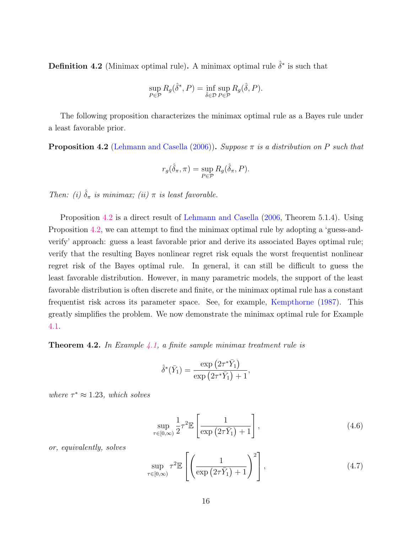**Definition 4.2** (Minimax optimal rule). A minimax optimal rule  $\hat{\delta}^*$  is such that

$$
\sup_{P \in \mathcal{P}} R_g(\hat{\delta}^*, P) = \inf_{\hat{\delta} \in \mathcal{D}} \sup_{P \in \mathcal{P}} R_g(\hat{\delta}, P).
$$

The following proposition characterizes the minimax optimal rule as a Bayes rule under a least favorable prior.

<span id="page-15-0"></span>**Proposition 4.2** [\(Lehmann and Casella](#page-50-12) [\(2006\)](#page-50-12)). Suppose  $\pi$  is a distribution on P such that

$$
r_g(\hat{\delta}_{\pi}, \pi) = \sup_{P \in \mathcal{P}} R_g(\hat{\delta}_{\pi}, P).
$$

Then: (i)  $\hat{\delta}_{\pi}$  is minimax; (ii)  $\pi$  is least favorable.

Proposition [4.2](#page-15-0) is a direct result of [Lehmann and Casella](#page-50-12) [\(2006,](#page-50-12) Theorem 5.1.4). Using Proposition [4.2,](#page-15-0) we can attempt to find the minimax optimal rule by adopting a 'guess-andverify' approach: guess a least favorable prior and derive its associated Bayes optimal rule; verify that the resulting Bayes nonlinear regret risk equals the worst frequentist nonlinear regret risk of the Bayes optimal rule. In general, it can still be difficult to guess the least favorable distribution. However, in many parametric models, the support of the least favorable distribution is often discrete and finite, or the minimax optimal rule has a constant frequentist risk across its parameter space. See, for example, [Kempthorne](#page-50-13) [\(1987\)](#page-50-13). This greatly simplifies the problem. We now demonstrate the minimax optimal rule for Example [4.1.](#page-14-0)

<span id="page-15-1"></span>**Theorem 4.2.** In Example [4.1,](#page-14-0) a finite sample minimax treatment rule is

$$
\hat{\delta}^*(\bar{Y}_1) = \frac{\exp(2\tau^*\bar{Y}_1)}{\exp(2\tau^*\bar{Y}_1) + 1},
$$

where  $\tau^* \approx 1.23$ , which solves

<span id="page-15-2"></span>
$$
\sup_{\tau \in [0,\infty)} \frac{1}{2} \tau^2 \mathbb{E} \left[ \frac{1}{\exp\left(2\tau \bar{Y}_1\right) + 1} \right],\tag{4.6}
$$

or, equivalently, solves

<span id="page-15-3"></span>
$$
\sup_{\tau \in [0,\infty)} \tau^2 \mathbb{E}\left[\left(\frac{1}{\exp\left(2\tau \bar{Y}_1\right) + 1}\right)^2\right],\tag{4.7}
$$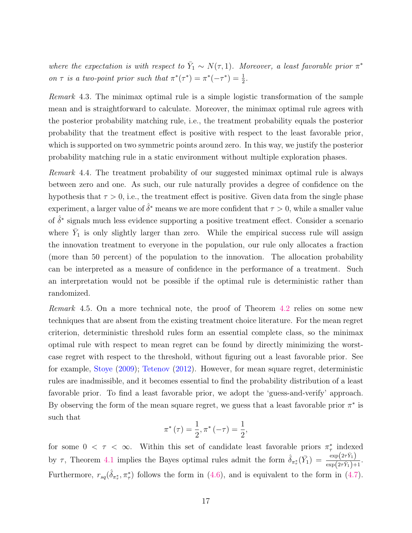where the expectation is with respect to  $\bar{Y}_1 \sim N(\tau, 1)$ . Moreover, a least favorable prior  $\pi^*$ on  $\tau$  is a two-point prior such that  $\pi^*(\tau^*) = \pi^*(-\tau^*) = \frac{1}{2}$ .

Remark 4.3. The minimax optimal rule is a simple logistic transformation of the sample mean and is straightforward to calculate. Moreover, the minimax optimal rule agrees with the posterior probability matching rule, i.e., the treatment probability equals the posterior probability that the treatment effect is positive with respect to the least favorable prior, which is supported on two symmetric points around zero. In this way, we justify the posterior probability matching rule in a static environment without multiple exploration phases.

Remark 4.4. The treatment probability of our suggested minimax optimal rule is always between zero and one. As such, our rule naturally provides a degree of confidence on the hypothesis that  $\tau > 0$ , i.e., the treatment effect is positive. Given data from the single phase experiment, a larger value of  $\hat{\delta}^*$  means we are more confident that  $\tau > 0$ , while a smaller value of  $\hat{\delta}^*$  signals much less evidence supporting a positive treatment effect. Consider a scenario where  $\bar{Y}_1$  is only slightly larger than zero. While the empirical success rule will assign the innovation treatment to everyone in the population, our rule only allocates a fraction (more than 50 percent) of the population to the innovation. The allocation probability can be interpreted as a measure of confidence in the performance of a treatment. Such an interpretation would not be possible if the optimal rule is deterministic rather than randomized.

Remark 4.5. On a more technical note, the proof of Theorem [4.2](#page-15-1) relies on some new techniques that are absent from the existing treatment choice literature. For the mean regret criterion, deterministic threshold rules form an essential complete class, so the minimax optimal rule with respect to mean regret can be found by directly minimizing the worstcase regret with respect to the threshold, without figuring out a least favorable prior. See for example, [Stoye](#page-51-4) [\(2009\)](#page-51-4); [Tetenov](#page-51-6) [\(2012\)](#page-51-6). However, for mean square regret, deterministic rules are inadmissible, and it becomes essential to find the probability distribution of a least favorable prior. To find a least favorable prior, we adopt the 'guess-and-verify' approach. By observing the form of the mean square regret, we guess that a least favorable prior  $\pi^*$  is such that

$$
\pi^*(\tau) = \frac{1}{2}, \pi^*(-\tau) = \frac{1}{2},
$$

for some  $0 < \tau < \infty$ . Within this set of candidate least favorable priors  $\pi^*$  indexed by  $\tau$ , Theorem [4.1](#page-11-1) implies the Bayes optimal rules admit the form  $\hat{\delta}_{\pi^*_{\tau}}(\bar{Y}_1) = \frac{\exp(2\tau\bar{Y}_1)}{\exp(2\tau\bar{Y}_1)+1}$ . Furthermore,  $r_{sq}(\hat{\delta}_{\pi^*_\tau}, \pi^*_\tau)$  follows the form in [\(4.6\)](#page-15-2), and is equivalent to the form in [\(4.7\)](#page-15-3).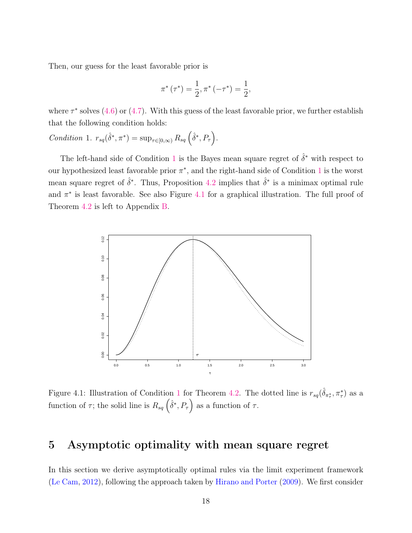Then, our guess for the least favorable prior is

$$
\pi^*(\tau^*) = \frac{1}{2}, \pi^*(-\tau^*) = \frac{1}{2},
$$

where  $\tau^*$  solves [\(4.6\)](#page-15-2) or [\(4.7\)](#page-15-3). With this guess of the least favorable prior, we further establish that the following condition holds:

<span id="page-17-1"></span>Condition 1. 
$$
r_{sq}(\hat{\delta}^*, \pi^*) = \sup_{\tau \in [0,\infty)} R_{sq}(\hat{\delta}^*, P_{\tau}).
$$

The left-hand side of Condition [1](#page-17-1) is the Bayes mean square regret of  $\hat{\delta}^*$  with respect to our hypothesized least favorable prior  $\pi^*$ , and the right-hand side of Condition [1](#page-17-1) is the worst mean square regret of  $\hat{\delta}^*$ . Thus, Proposition [4.2](#page-15-1) implies that  $\hat{\delta}^*$  is a minimax optimal rule and  $\pi^*$  is least favorable. See also Figure [4.1](#page-17-2) for a graphical illustration. The full proof of Theorem [4.2](#page-15-1) is left to Appendix [B.](#page-32-0)



<span id="page-17-2"></span>Figure 4.[1](#page-17-1): Illustration of Condition 1 for Theorem [4.2.](#page-15-1) The dotted line is  $r_{sq}(\hat{\delta}_{\pi_7^*}, \pi_7^*)$  as a function of  $\tau$ ; the solid line is  $R_{sq}(\hat{\delta}^*, P_{\tau})$  as a function of  $\tau$ .

# <span id="page-17-0"></span>5 Asymptotic optimality with mean square regret

In this section we derive asymptotically optimal rules via the limit experiment framework [\(Le Cam,](#page-50-4) [2012\)](#page-50-4), following the approach taken by [Hirano and Porter](#page-50-1) [\(2009\)](#page-50-1). We first consider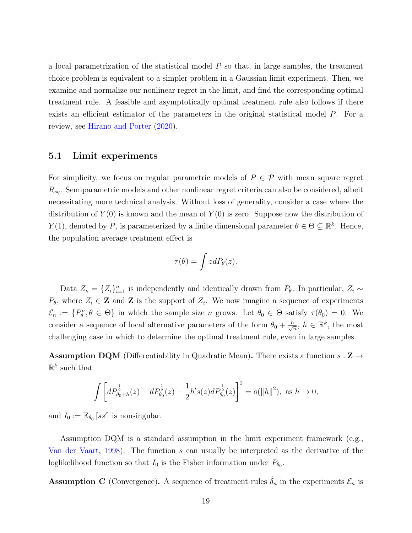a local parametrization of the statistical model  $P$  so that, in large samples, the treatment choice problem is equivalent to a simpler problem in a Gaussian limit experiment. Then, we examine and normalize our nonlinear regret in the limit, and find the corresponding optimal treatment rule. A feasible and asymptotically optimal treatment rule also follows if there exists an efficient estimator of the parameters in the original statistical model P. For a review, see [Hirano and Porter](#page-50-2) [\(2020\)](#page-50-2).

#### 5.1 Limit experiments

For simplicity, we focus on regular parametric models of  $P \in \mathcal{P}$  with mean square regret  $R_{sq}$ . Semiparametric models and other nonlinear regret criteria can also be considered, albeit necessitating more technical analysis. Without loss of generality, consider a case where the distribution of  $Y(0)$  is known and the mean of  $Y(0)$  is zero. Suppose now the distribution of Y(1), denoted by P, is parameterized by a finite dimensional parameter  $\theta \in \Theta \subseteq \mathbb{R}^k$ . Hence, the population average treatment effect is

$$
\tau(\theta) = \int z dP_{\theta}(z).
$$

Data  $Z_n = \{Z_i\}_{i=1}^n$  is independently and identically drawn from  $P_\theta$ . In particular,  $Z_i \sim$  $P_{\theta}$ , where  $Z_i \in \mathbf{Z}$  and  $\mathbf{Z}$  is the support of  $Z_i$ . We now imagine a sequence of experiments  $\mathcal{E}_n := \{P_{\theta}^n, \theta \in \Theta\}$  in which the sample size n grows. Let  $\theta_0 \in \Theta$  satisfy  $\tau(\theta_0) = 0$ . We consider a sequence of local alternative parameters of the form  $\theta_0 + \frac{h}{\sqrt{6}}$  $\frac{n}{\overline{n}}, h \in \mathbb{R}^k$ , the most challenging case in which to determine the optimal treatment rule, even in large samples.

**Assumption DQM** (Differentiability in Quadratic Mean). There exists a function  $s: \mathbb{Z} \rightarrow$  $\mathbb{R}^k$  such that

$$
\int \left[ dP_{\theta_0+h}^{\frac{1}{2}}(z) - dP_{\theta_0}^{\frac{1}{2}}(z) - \frac{1}{2}h' s(z) dP_{\theta_0}^{\frac{1}{2}}(z) \right]^2 = o(||h||^2), \text{ as } h \to 0,
$$

and  $I_0 := \mathbb{E}_{\theta_0}[ss']$  is nonsingular.

Assumption DQM is a standard assumption in the limit experiment framework (e.g., [Van der Vaart,](#page-51-16) [1998\)](#page-51-16). The function s can usually be interpreted as the derivative of the loglikelihood function so that  $I_0$  is the Fisher information under  $P_{\theta_0}$ .

**Assumption C** (Convergence). A sequence of treatment rules  $\hat{\delta}_n$  in the experiments  $\mathcal{E}_n$  is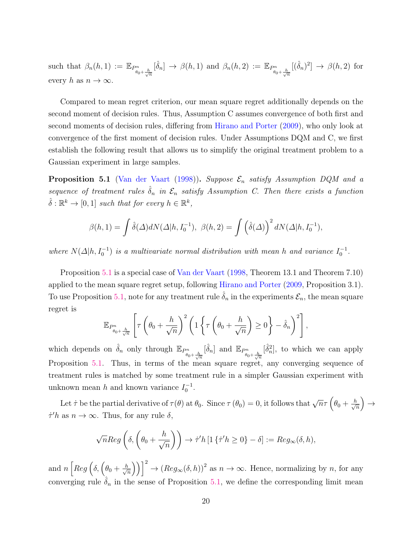such that  $\beta_n(h,1) := \mathbb{E}_{P^n_{\theta_0 + \frac{h}{\sqrt{n}}}$  $[\hat{\delta}_n] \to \beta(h, 1)$  and  $\beta_n(h, 2) := \mathbb{E}_{P^n_{\theta_0 + \frac{h}{\sqrt{n}}}$  $[(\hat{\delta}_n)^2] \rightarrow \beta(h, 2)$  for every h as  $n \to \infty$ .

Compared to mean regret criterion, our mean square regret additionally depends on the second moment of decision rules. Thus, Assumption C assumes convergence of both first and second moments of decision rules, differing from [Hirano and Porter](#page-50-1) [\(2009\)](#page-50-1), who only look at convergence of the first moment of decision rules. Under Assumptions DQM and C, we first establish the following result that allows us to simplify the original treatment problem to a Gaussian experiment in large samples.

<span id="page-19-0"></span>**Proposition 5.1** [\(Van der Vaart](#page-51-16) [\(1998\)](#page-51-16)). Suppose  $\mathcal{E}_n$  satisfy Assumption DQM and a sequence of treatment rules  $\hat{\delta}_n$  in  $\mathcal{E}_n$  satisfy Assumption C. Then there exists a function  $\hat{\delta}: \mathbb{R}^k \to [0,1]$  such that for every  $h \in \mathbb{R}^k$ ,

$$
\beta(h,1) = \int \hat{\delta}(\Delta) dN(\Delta|h, I_0^{-1}), \ \beta(h,2) = \int (\hat{\delta}(\Delta))^{2} dN(\Delta|h, I_0^{-1}),
$$

where  $N(\Delta|h, I_0^{-1})$  is a multivariate normal distribution with mean h and variance  $I_0^{-1}$ .

Proposition [5.1](#page-19-0) is a special case of [Van der Vaart](#page-51-16) [\(1998,](#page-51-16) Theorem 13.1 and Theorem 7.10) applied to the mean square regret setup, following [Hirano and Porter](#page-50-1) [\(2009,](#page-50-1) Proposition 3.1). To use Proposition [5.1,](#page-19-0) note for any treatment rule  $\hat{\delta}_n$  in the experiments  $\mathcal{E}_n$ , the mean square regret is

$$
\mathbb{E}_{P_{\theta_0+\frac{h}{\sqrt{n}}}^n} \left[ \tau \left( \theta_0 + \frac{h}{\sqrt{n}} \right)^2 \left( 1 \left\{ \tau \left( \theta_0 + \frac{h}{\sqrt{n}} \right) \ge 0 \right\} - \hat{\delta}_n \right)^2 \right],
$$

which depends on  $\hat{\delta}_n$  only through  $\mathbb{E}_{P_{\theta_0+\frac{h}{\sqrt{n}}}^n}$  $[\hat{\delta}_n]$  and  $\mathbb{E}_{P^n_{\theta_0 + \frac{h}{\sqrt{n}}} }$  $[\hat{\delta}_n^2]$ , to which we can apply Proposition [5.1.](#page-19-0) Thus, in terms of the mean square regret, any converging sequence of treatment rules is matched by some treatment rule in a simpler Gaussian experiment with unknown mean h and known variance  $I_0^{-1}$ .

Let  $\tau$  be the partial derivative of  $\tau(\theta)$  at  $\theta_0$ . Since  $\tau(\theta_0) = 0$ , it follows that  $\sqrt{n}\tau$   $(\theta_0 + \frac{h}{\sqrt{n}})$  $\left(\frac{\iota}{\overline{n}}\right) \rightarrow$  $\dot{\tau}'h$  as  $n \to \infty$ . Thus, for any rule  $\delta$ ,

$$
\sqrt{n}Reg\left(\delta,\left(\theta_0+\frac{h}{\sqrt{n}}\right)\right)\to\dot\tau'h\left[1\left\{\dot\tau'h\geq 0\right\}-\delta\right]:=Reg_{\infty}(\delta,h),
$$

and  $n \left[ Reg\left(\delta, \left(\theta_0 + \frac{h}{\sqrt{\delta}}\right)\right)\right]$  $\left(\frac{n}{n}\right)\right)^2 \to (Reg_\infty(\delta, h))^2$  as  $n \to \infty$ . Hence, normalizing by n, for any converging rule  $\hat{\delta}_n$  in the sense of Proposition [5.1,](#page-19-0) we define the corresponding limit mean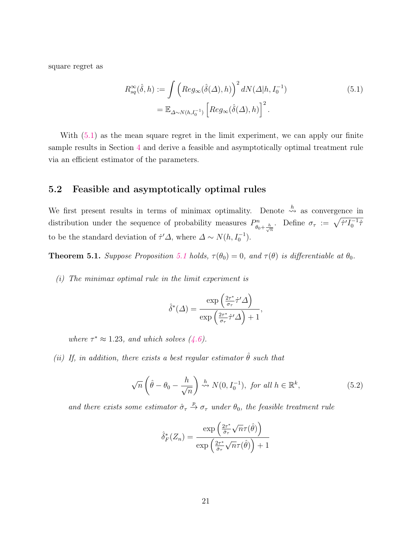square regret as

<span id="page-20-0"></span>
$$
R_{sq}^{\infty}(\hat{\delta}, h) := \int \left( Reg_{\infty}(\hat{\delta}(\Delta), h)\right)^{2} dN(\Delta|h, I_{0}^{-1})
$$
  
= 
$$
\mathbb{E}_{\Delta \sim N(h, I_{0}^{-1})} \left[ Reg_{\infty}(\hat{\delta}(\Delta), h)\right]^{2}.
$$
 (5.1)

With [\(5.1\)](#page-20-0) as the mean square regret in the limit experiment, we can apply our finite sample results in Section [4](#page-10-0) and derive a feasible and asymptotically optimal treatment rule via an efficient estimator of the parameters.

### 5.2 Feasible and asymptotically optimal rules

We first present results in terms of minimax optimality. Denote  $\stackrel{h}{\leadsto}$  as convergence in distribution under the sequence of probability measures  $P_{\theta_0+\frac{h}{\sqrt{n}}}^n$ . Define  $\sigma_{\tau} := \sqrt{\tau' I_0^{-1} \tau'}$ to be the standard deviation of  $\dot{\tau}'\Delta$ , where  $\Delta \sim N(h, I_0^{-1})$ .

<span id="page-20-1"></span>**Theorem [5.1](#page-19-0).** Suppose Proposition 5.1 holds,  $\tau(\theta_0) = 0$ , and  $\tau(\theta)$  is differentiable at  $\theta_0$ .

(i) The minimax optimal rule in the limit experiment is

$$
\hat{\delta}^*(\Delta) = \frac{\exp\left(\frac{2\tau^*}{\sigma_{\tau}}\dot{\tau}'\Delta\right)}{\exp\left(\frac{2\tau^*}{\sigma_{\tau}}\dot{\tau}'\Delta\right) + 1},
$$

where  $\tau^* \approx 1.23$ , and which solves [\(4.6\)](#page-15-2).

(ii) If, in addition, there exists a best regular estimator  $\hat{\theta}$  such that

<span id="page-20-2"></span>
$$
\sqrt{n}\left(\hat{\theta}-\theta_0-\frac{h}{\sqrt{n}}\right) \stackrel{h}{\leadsto} N(0,I_0^{-1}), \text{ for all } h \in \mathbb{R}^k,
$$
 (5.2)

and there exists some estimator  $\hat{\sigma}_{\tau} \stackrel{p}{\rightarrow} \sigma_{\tau}$  under  $\theta_0$ , the feasible treatment rule

$$
\hat{\delta}_F^*(Z_n) = \frac{\exp\left(\frac{2\tau^*}{\hat{\sigma}_\tau}\sqrt{n}\tau(\hat{\theta})\right)}{\exp\left(\frac{2\tau^*}{\hat{\sigma}_\tau}\sqrt{n}\tau(\hat{\theta})\right) + 1}
$$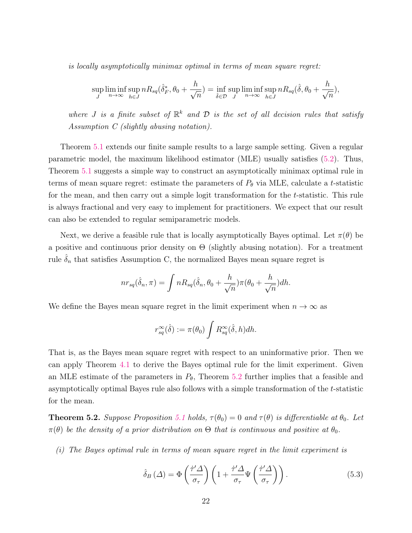is locally asymptotically minimax optimal in terms of mean square regret:

$$
\sup_J \liminf_{n \to \infty} \sup_{h \in J} n R_{sq}(\hat{\delta}_F^*, \theta_0 + \frac{h}{\sqrt{n}}) = \inf_{\hat{\delta} \in \mathcal{D}} \sup_J \liminf_{n \to \infty} \sup_{h \in J} n R_{sq}(\hat{\delta}, \theta_0 + \frac{h}{\sqrt{n}}),
$$

where J is a finite subset of  $\mathbb{R}^k$  and  $\mathcal D$  is the set of all decision rules that satisfy Assumption C (slightly abusing notation).

Theorem [5.1](#page-20-1) extends our finite sample results to a large sample setting. Given a regular parametric model, the maximum likelihood estimator (MLE) usually satisfies [\(5.2\)](#page-20-2). Thus, Theorem [5.1](#page-20-1) suggests a simple way to construct an asymptotically minimax optimal rule in terms of mean square regret: estimate the parameters of  $P_{\theta}$  via MLE, calculate a t-statistic for the mean, and then carry out a simple logit transformation for the t-statistic. This rule is always fractional and very easy to implement for practitioners. We expect that our result can also be extended to regular semiparametric models.

Next, we derive a feasible rule that is locally asymptotically Bayes optimal. Let  $\pi(\theta)$  be a positive and continuous prior density on  $\Theta$  (slightly abusing notation). For a treatment rule  $\delta_n$  that satisfies Assumption C, the normalized Bayes mean square regret is

$$
nr_{sq}(\hat{\delta}_n, \pi) = \int nR_{sq}(\hat{\delta}_n, \theta_0 + \frac{h}{\sqrt{n}})\pi(\theta_0 + \frac{h}{\sqrt{n}})dh.
$$

We define the Bayes mean square regret in the limit experiment when  $n \to \infty$  as

$$
r_{sq}^{\infty}(\hat{\delta}) := \pi(\theta_0) \int R_{sq}^{\infty}(\hat{\delta}, h) dh.
$$

That is, as the Bayes mean square regret with respect to an uninformative prior. Then we can apply Theorem [4.1](#page-11-1) to derive the Bayes optimal rule for the limit experiment. Given an MLE estimate of the parameters in  $P_{\theta}$ , Theorem [5.2](#page-21-0) further implies that a feasible and asymptotically optimal Bayes rule also follows with a simple transformation of the t-statistic for the mean.

<span id="page-21-0"></span>**Theorem 5.2.** Suppose Proposition [5.1](#page-19-0) holds,  $\tau(\theta_0) = 0$  and  $\tau(\theta)$  is differentiable at  $\theta_0$ . Let  $\pi(\theta)$  be the density of a prior distribution on  $\Theta$  that is continuous and positive at  $\theta_0$ .

(i) The Bayes optimal rule in terms of mean square regret in the limit experiment is

$$
\hat{\delta}_B(\Delta) = \Phi\left(\frac{\dot{\tau}' \Delta}{\sigma_\tau}\right) \left(1 + \frac{\dot{\tau}' \Delta}{\sigma_\tau} \Psi\left(\frac{\dot{\tau}' \Delta}{\sigma_\tau}\right)\right). \tag{5.3}
$$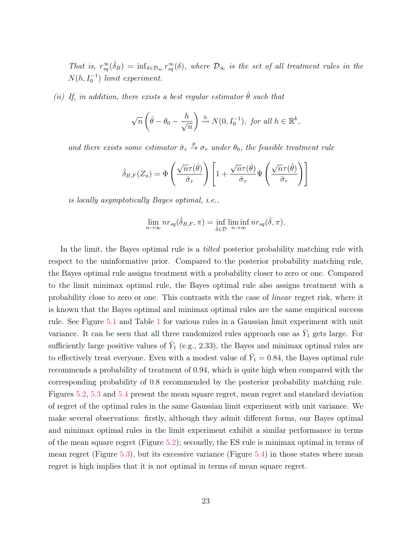That is,  $r_{sq}^{\infty}(\hat{\delta}_B) = \inf_{\delta \in \mathcal{D}_{\infty}} r_{sq}^{\infty}(\delta)$ , where  $\mathcal{D}_{\infty}$  is the set of all treatment rules in the  $N(h, I_0^{-1})$  limit experiment.

(ii) If, in addition, there exists a best regular estimator  $\hat{\theta}$  such that

$$
\sqrt{n}\left(\hat{\theta}-\theta_0-\frac{h}{\sqrt{n}}\right) \stackrel{h}{\leadsto} N(0,I_0^{-1}), \text{ for all } h \in \mathbb{R}^k,
$$

and there exists some estimator  $\hat{\sigma}_{\tau} \stackrel{p}{\rightarrow} \sigma_{\tau}$  under  $\theta_0$ , the feasible treatment rule

$$
\hat{\delta}_{B,F}(Z_n) = \Phi\left(\frac{\sqrt{n}\tau(\hat{\theta})}{\hat{\sigma}_{\tau}}\right) \left[1 + \frac{\sqrt{n}\tau(\hat{\theta})}{\hat{\sigma}_{\tau}}\Psi\left(\frac{\sqrt{n}\tau(\hat{\theta})}{\hat{\sigma}_{\tau}}\right)\right]
$$

is locally asymptotically Bayes optimal, i.e.,

$$
\lim_{n \to \infty} nr_{sq}(\hat{\delta}_{B,F}, \pi) = \inf_{\hat{\delta} \in \mathcal{D}} \liminf_{n \to \infty} nr_{sq}(\hat{\delta}, \pi).
$$

In the limit, the Bayes optimal rule is a *tilted* posterior probability matching rule with respect to the uninformative prior. Compared to the posterior probability matching rule, the Bayes optimal rule assigns treatment with a probability closer to zero or one. Compared to the limit minimax optimal rule, the Bayes optimal rule also assigns treatment with a probability close to zero or one. This contrasts with the case of linear regret risk, where it is known that the Bayes optimal and minimax optimal rules are the same empirical success rule. See Figure [5.1](#page-23-0) and Table [1](#page-25-1) for various rules in a Gaussian limit experiment with unit variance. It can be seen that all three randomized rules approach one as  $\bar{Y}_1$  gets large. For sufficiently large positive values of  $\bar{Y}_1$  (e.g., 2.33), the Bayes and minimax optimal rules are to effectively treat everyone. Even with a modest value of  $\bar{Y}_1 = 0.84$ , the Bayes optimal rule recommends a probability of treatment of 0.94, which is quite high when compared with the corresponding probability of 0.8 recommended by the posterior probability matching rule. Figures [5.2,](#page-23-1) [5.3](#page-24-0) and [5.4](#page-24-1) present the mean square regret, mean regret and standard deviation of regret of the optimal rules in the same Gaussian limit experiment with unit variance. We make several observations: firstly, although they admit different forms, our Bayes optimal and minimax optimal rules in the limit experiment exhibit a similar performance in terms of the mean square regret (Figure [5.2\)](#page-23-1); secondly, the ES rule is minimax optimal in terms of mean regret (Figure [5.3\)](#page-24-0), but its excessive variance (Figure [5.4\)](#page-24-1) in those states where mean regret is high implies that it is not optimal in terms of mean square regret.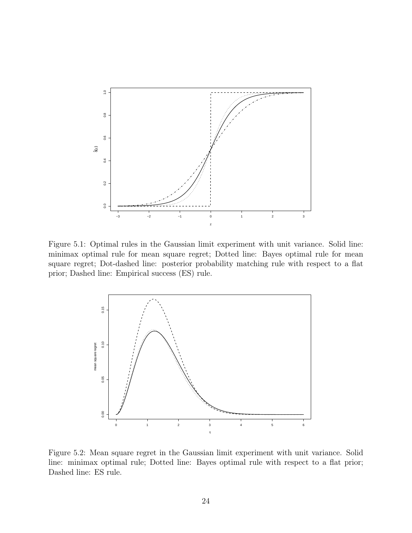

<span id="page-23-0"></span>Figure 5.1: Optimal rules in the Gaussian limit experiment with unit variance. Solid line: minimax optimal rule for mean square regret; Dotted line: Bayes optimal rule for mean square regret; Dot-dashed line: posterior probability matching rule with respect to a flat prior; Dashed line: Empirical success (ES) rule.



<span id="page-23-1"></span>Figure 5.2: Mean square regret in the Gaussian limit experiment with unit variance. Solid line: minimax optimal rule; Dotted line: Bayes optimal rule with respect to a flat prior; Dashed line: ES rule.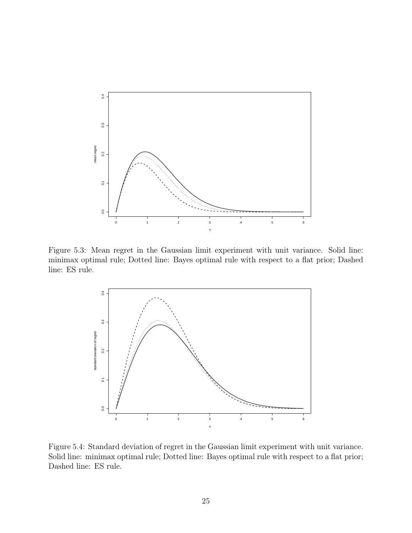

Figure 5.3: Mean regret in the Gaussian limit experiment with unit variance. Solid line: minimax optimal rule; Dotted line: Bayes optimal rule with respect to a flat prior; Dashed line: ES rule.

<span id="page-24-0"></span>

<span id="page-24-1"></span>Figure 5.4: Standard deviation of regret in the Gaussian limit experiment with unit variance. Solid line: minimax optimal rule; Dotted line: Bayes optimal rule with respect to a flat prior; Dashed line: ES rule.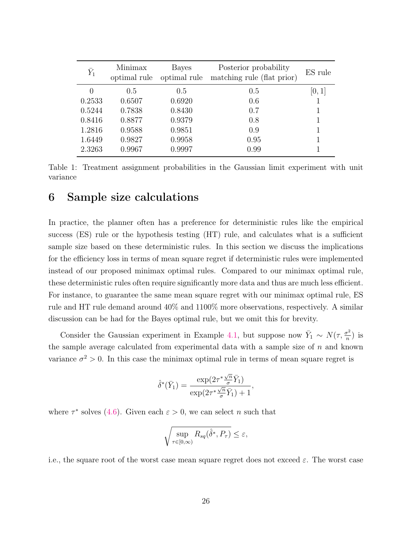| $\bar{Y}_1$      | Minimax<br>optimal rule | <b>Bayes</b><br>optimal rule | Posterior probability<br>matching rule (flat prior) | ES rule |
|------------------|-------------------------|------------------------------|-----------------------------------------------------|---------|
| $\left( \right)$ | 0.5                     | 0.5                          | 0.5                                                 | [0,1]   |
| 0.2533           | 0.6507                  | 0.6920                       | 0.6                                                 |         |
| 0.5244           | 0.7838                  | 0.8430                       | 0.7                                                 | 1       |
| 0.8416           | 0.8877                  | 0.9379                       | 0.8                                                 | 1       |
| 1.2816           | 0.9588                  | 0.9851                       | 0.9                                                 | 1       |
| 1.6449           | 0.9827                  | 0.9958                       | 0.95                                                | 1       |
| 2.3263           | 0.9967                  | 0.9997                       | 0.99                                                |         |

<span id="page-25-1"></span>Table 1: Treatment assignment probabilities in the Gaussian limit experiment with unit variance

# <span id="page-25-0"></span>6 Sample size calculations

In practice, the planner often has a preference for deterministic rules like the empirical success (ES) rule or the hypothesis testing (HT) rule, and calculates what is a sufficient sample size based on these deterministic rules. In this section we discuss the implications for the efficiency loss in terms of mean square regret if deterministic rules were implemented instead of our proposed minimax optimal rules. Compared to our minimax optimal rule, these deterministic rules often require significantly more data and thus are much less efficient. For instance, to guarantee the same mean square regret with our minimax optimal rule, ES rule and HT rule demand around 40% and 1100% more observations, respectively. A similar discussion can be had for the Bayes optimal rule, but we omit this for brevity.

Consider the Gaussian experiment in Example [4.1,](#page-14-0) but suppose now  $\bar{Y}_1 \sim N(\tau, \frac{\sigma^2}{n})$  $\frac{\sigma^2}{n}$ ) is the sample average calculated from experimental data with a sample size of  $n$  and known variance  $\sigma^2 > 0$ . In this case the minimax optimal rule in terms of mean square regret is

$$
\hat{\delta}^*(\bar{Y}_1) = \frac{\exp(2\tau^*\frac{\sqrt{n}}{\sigma}\bar{Y}_1)}{\exp(2\tau^*\frac{\sqrt{n}}{\sigma}\bar{Y}_1) + 1},
$$

where  $\tau^*$  solves [\(4.6\)](#page-15-2). Given each  $\varepsilon > 0$ , we can select *n* such that

$$
\sqrt{\sup_{\tau \in [0,\infty)} R_{sq}(\hat{\delta}^*, P_\tau)} \leq \varepsilon,
$$

i.e., the square root of the worst case mean square regret does not exceed  $\varepsilon$ . The worst case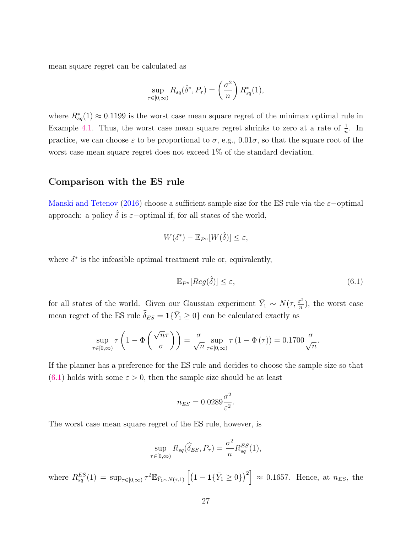mean square regret can be calculated as

$$
\sup_{\tau \in [0,\infty)} R_{sq}(\hat{\delta}^*, P_{\tau}) = \left(\frac{\sigma^2}{n}\right) R_{sq}^*(1),
$$

where  $R_{sq}^*(1) \approx 0.1199$  is the worst case mean square regret of the minimax optimal rule in Example [4.1.](#page-14-0) Thus, the worst case mean square regret shrinks to zero at a rate of  $\frac{1}{n}$ . In practice, we can choose  $\varepsilon$  to be proportional to  $\sigma$ , e.g.,  $0.01\sigma$ , so that the square root of the worst case mean square regret does not exceed 1% of the standard deviation.

#### Comparison with the ES rule

[Manski and Tetenov](#page-51-17) [\(2016\)](#page-51-17) choose a sufficient sample size for the ES rule via the  $\varepsilon$ −optimal approach: a policy  $\hat{\delta}$  is  $\varepsilon$ -optimal if, for all states of the world,

$$
W(\delta^*) - \mathbb{E}_{P^n}[W(\hat{\delta})] \le \varepsilon,
$$

where  $\delta^*$  is the infeasible optimal treatment rule or, equivalently,

<span id="page-26-0"></span>
$$
\mathbb{E}_{P^n}[Reg(\hat{\delta})] \le \varepsilon,\tag{6.1}
$$

for all states of the world. Given our Gaussian experiment  $\bar{Y}_1 \sim N(\tau, \frac{\sigma^2}{n})$  $\frac{\sigma^2}{n}$ , the worst case mean regret of the ES rule  $\widehat{\delta}_{ES} = \mathbf{1}\{\bar{Y}_1 \ge 0\}$  can be calculated exactly as

$$
\sup_{\tau \in [0,\infty)} \tau \left(1 - \Phi\left(\frac{\sqrt{n}\tau}{\sigma}\right)\right) = \frac{\sigma}{\sqrt{n}} \sup_{\tau \in [0,\infty)} \tau \left(1 - \Phi\left(\tau\right)\right) = 0.1700 \frac{\sigma}{\sqrt{n}}.
$$

If the planner has a preference for the ES rule and decides to choose the sample size so that  $(6.1)$  holds with some  $\varepsilon > 0$ , then the sample size should be at least

$$
n_{ES} = 0.0289 \frac{\sigma^2}{\varepsilon^2}.
$$

The worst case mean square regret of the ES rule, however, is

 $\tau$ 

$$
\sup_{\in[0,\infty)} R_{sq}(\widehat{\delta}_{ES}, P_{\tau}) = \frac{\sigma^2}{n} R_{sq}^{ES}(1),
$$

where  $R_{sq}^{ES}(1) = \sup_{\tau \in [0,\infty)} \tau^2 \mathbb{E}_{\bar{Y}_1 \sim N(\tau,1)} \left[ \left(1 - \mathbf{1}\{\bar{Y}_1 \geq 0\}\right)^2 \right] \approx 0.1657$ . Hence, at  $n_{ES}$ , the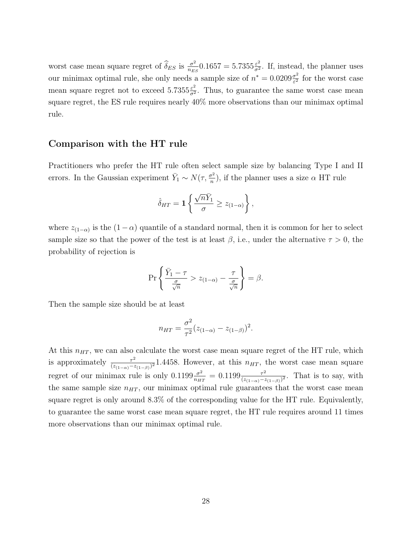worst case mean square regret of  $\widehat{\delta}_{ES}$  is  $\frac{\sigma^2}{n_{E}}$  $\frac{\sigma^2}{n_{ES}} 0.1657 = 5.7355 \frac{\varepsilon^2}{\sigma^2}$  $\frac{\varepsilon^2}{\sigma^2}$ . If, instead, the planner uses our minimax optimal rule, she only needs a sample size of  $n^* = 0.0209 \frac{\sigma^2}{\epsilon^2}$  $\frac{\sigma^2}{\varepsilon^2}$  for the worst case mean square regret not to exceed  $5.7355\frac{\varepsilon^2}{\sigma^2}$  $\frac{\varepsilon^2}{\sigma^2}$ . Thus, to guarantee the same worst case mean square regret, the ES rule requires nearly 40% more observations than our minimax optimal rule.

#### Comparison with the HT rule

Practitioners who prefer the HT rule often select sample size by balancing Type I and II errors. In the Gaussian experiment  $\bar{Y}_1 \sim N(\tau, \frac{\sigma^2}{n})$  $(\frac{r^2}{n})$ , if the planner uses a size  $\alpha$  HT rule

$$
\hat{\delta}_{HT} = \mathbf{1} \left\{ \frac{\sqrt{n} \bar{Y}_1}{\sigma} \ge z_{(1-\alpha)} \right\},\,
$$

where  $z_{(1-\alpha)}$  is the  $(1-\alpha)$  quantile of a standard normal, then it is common for her to select sample size so that the power of the test is at least  $\beta$ , i.e., under the alternative  $\tau > 0$ , the probability of rejection is

$$
\Pr\left\{\frac{\bar{Y}_1 - \tau}{\frac{\sigma}{\sqrt{n}}} > z_{(1-\alpha)} - \frac{\tau}{\frac{\sigma}{\sqrt{n}}}\right\} = \beta.
$$

Then the sample size should be at least

$$
n_{HT} = \frac{\sigma^2}{\tau^2} (z_{(1-\alpha)} - z_{(1-\beta)})^2.
$$

At this  $n_{HT}$ , we can also calculate the worst case mean square regret of the HT rule, which is approximately  $\frac{\tau^2}{\sqrt{2}}$  $\frac{\tau^2}{(z_{(1-\alpha)}-z_{(1-\beta)})^2}$ 1.4458. However, at this  $n_{HT}$ , the worst case mean square regret of our minimax rule is only  $0.1199 \frac{\sigma^2}{n m}$  $\frac{\sigma^2}{n_{HT}} = 0.1199 \frac{\tau^2}{(z_{(1-\alpha)} - z_{T})}$  $\frac{\tau^2}{(z_{(1-\alpha)}-z_{(1-\beta)})^2}$ . That is to say, with the same sample size  $n_{HT}$ , our minimax optimal rule guarantees that the worst case mean square regret is only around 8.3% of the corresponding value for the HT rule. Equivalently, to guarantee the same worst case mean square regret, the HT rule requires around 11 times more observations than our minimax optimal rule.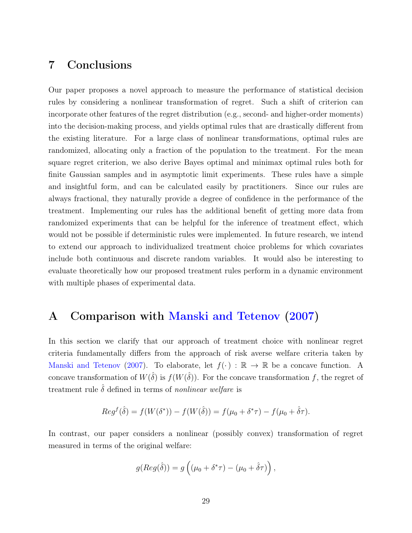# <span id="page-28-1"></span>7 Conclusions

Our paper proposes a novel approach to measure the performance of statistical decision rules by considering a nonlinear transformation of regret. Such a shift of criterion can incorporate other features of the regret distribution (e.g., second- and higher-order moments) into the decision-making process, and yields optimal rules that are drastically different from the existing literature. For a large class of nonlinear transformations, optimal rules are randomized, allocating only a fraction of the population to the treatment. For the mean square regret criterion, we also derive Bayes optimal and minimax optimal rules both for finite Gaussian samples and in asymptotic limit experiments. These rules have a simple and insightful form, and can be calculated easily by practitioners. Since our rules are always fractional, they naturally provide a degree of confidence in the performance of the treatment. Implementing our rules has the additional benefit of getting more data from randomized experiments that can be helpful for the inference of treatment effect, which would not be possible if deterministic rules were implemented. In future research, we intend to extend our approach to individualized treatment choice problems for which covariates include both continuous and discrete random variables. It would also be interesting to evaluate theoretically how our proposed treatment rules perform in a dynamic environment with multiple phases of experimental data.

# <span id="page-28-0"></span>A Comparison with [Manski and Tetenov](#page-51-11) [\(2007\)](#page-51-11)

In this section we clarify that our approach of treatment choice with nonlinear regret criteria fundamentally differs from the approach of risk averse welfare criteria taken by [Manski and Tetenov](#page-51-11) [\(2007\)](#page-51-11). To elaborate, let  $f(\cdot) : \mathbb{R} \to \mathbb{R}$  be a concave function. A concave transformation of  $W(\hat{\delta})$  is  $f(W(\hat{\delta}))$ . For the concave transformation f, the regret of treatment rule  $\delta$  defined in terms of *nonlinear welfare* is

$$
Reg^{f}(\hat{\delta}) = f(W(\delta^*)) - f(W(\hat{\delta})) = f(\mu_0 + \delta^* \tau) - f(\mu_0 + \hat{\delta} \tau).
$$

In contrast, our paper considers a nonlinear (possibly convex) transformation of regret measured in terms of the original welfare:

$$
g(Reg(\hat{\delta})) = g((\mu_0 + \delta^*\tau) - (\mu_0 + \hat{\delta}\tau)),
$$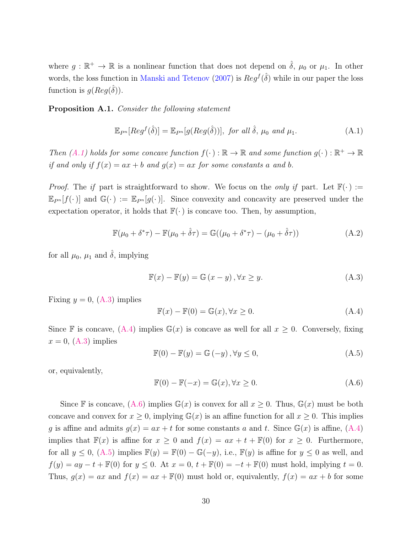where  $g: \mathbb{R}^+ \to \mathbb{R}$  is a nonlinear function that does not depend on  $\hat{\delta}$ ,  $\mu_0$  or  $\mu_1$ . In other words, the loss function in [Manski and Tetenov](#page-51-11) [\(2007\)](#page-51-11) is  $Reg^{f}(\hat{\delta})$  while in our paper the loss function is  $g(Reg(\hat{\delta}))$ .

<span id="page-29-5"></span>Proposition A.1. Consider the following statement

<span id="page-29-0"></span>
$$
\mathbb{E}_{P^n}[Reg^f(\hat{\delta})] = \mathbb{E}_{P^n}[g(Reg(\hat{\delta}))], \text{ for all } \hat{\delta}, \mu_0 \text{ and } \mu_1.
$$
 (A.1)

Then [\(A.1\)](#page-29-0) holds for some concave function  $f(\cdot): \mathbb{R} \to \mathbb{R}$  and some function  $g(\cdot): \mathbb{R}^+ \to \mathbb{R}$ if and only if  $f(x) = ax + b$  and  $g(x) = ax$  for some constants a and b.

*Proof.* The if part is straightforward to show. We focus on the *only if* part. Let  $\mathbb{F}(\cdot) :=$  $\mathbb{E}_{P^n}[f(\cdot)]$  and  $\mathbb{G}(\cdot) := \mathbb{E}_{P^n}[g(\cdot)]$ . Since convexity and concavity are preserved under the expectation operator, it holds that  $\mathbb{F}(\cdot)$  is concave too. Then, by assumption,

$$
\mathbb{F}(\mu_0 + \delta^* \tau) - \mathbb{F}(\mu_0 + \hat{\delta} \tau) = \mathbb{G}((\mu_0 + \delta^* \tau) - (\mu_0 + \hat{\delta} \tau))
$$
\n(A.2)

for all  $\mu_0$ ,  $\mu_1$  and  $\hat{\delta}$ , implying

<span id="page-29-1"></span>
$$
\mathbb{F}(x) - \mathbb{F}(y) = \mathbb{G}(x - y), \forall x \ge y.
$$
\n(A.3)

Fixing  $y = 0$ , [\(A.3\)](#page-29-1) implies

<span id="page-29-2"></span>
$$
\mathbb{F}(x) - \mathbb{F}(0) = \mathbb{G}(x), \forall x \ge 0.
$$
\n(A.4)

Since F is concave,  $(A.4)$  implies  $\mathbb{G}(x)$  is concave as well for all  $x \geq 0$ . Conversely, fixing  $x = 0$ ,  $(A.3)$  implies

<span id="page-29-4"></span>
$$
\mathbb{F}(0) - \mathbb{F}(y) = \mathbb{G}(-y), \forall y \le 0,
$$
\n(A.5)

or, equivalently,

<span id="page-29-3"></span>
$$
\mathbb{F}(0) - \mathbb{F}(-x) = \mathbb{G}(x), \forall x \ge 0.
$$
\n(A.6)

Since F is concave,  $(A.6)$  implies  $\mathbb{G}(x)$  is convex for all  $x \geq 0$ . Thus,  $\mathbb{G}(x)$  must be both concave and convex for  $x \geq 0$ , implying  $\mathbb{G}(x)$  is an affine function for all  $x \geq 0$ . This implies g is affine and admits  $g(x) = ax + t$  for some constants a and t. Since  $\mathbb{G}(x)$  is affine,  $(A.4)$ implies that  $\mathbb{F}(x)$  is affine for  $x \geq 0$  and  $f(x) = ax + t + \mathbb{F}(0)$  for  $x \geq 0$ . Furthermore, for all  $y \le 0$ ,  $(A.5)$  implies  $\mathbb{F}(y) = \mathbb{F}(0) - \mathbb{G}(-y)$ , i.e.,  $\mathbb{F}(y)$  is affine for  $y \le 0$  as well, and  $f(y) = ay - t + \mathbb{F}(0)$  for  $y \le 0$ . At  $x = 0$ ,  $t + \mathbb{F}(0) = -t + \mathbb{F}(0)$  must hold, implying  $t = 0$ . Thus,  $g(x) = ax$  and  $f(x) = ax + \mathbb{F}(0)$  must hold or, equivalently,  $f(x) = ax + b$  for some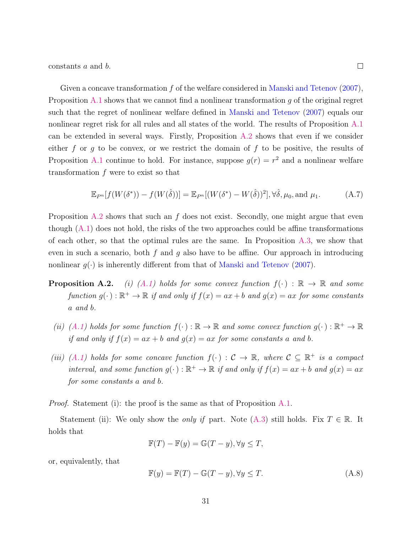constants a and b.

Given a concave transformation f of the welfare considered in [Manski and Tetenov](#page-51-11) [\(2007\)](#page-51-11), Proposition [A.1](#page-29-5) shows that we cannot find a nonlinear transformation g of the original regret such that the regret of nonlinear welfare defined in [Manski and Tetenov](#page-51-11) [\(2007\)](#page-51-11) equals our nonlinear regret risk for all rules and all states of the world. The results of Proposition [A.1](#page-29-5) can be extended in several ways. Firstly, Proposition [A.2](#page-0-0) shows that even if we consider either f or g to be convex, or we restrict the domain of f to be positive, the results of Proposition [A.1](#page-29-5) continue to hold. For instance, suppose  $g(r) = r^2$  and a nonlinear welfare transformation f were to exist so that

$$
\mathbb{E}_{P^n}[f(W(\delta^*)) - f(W(\hat{\delta}))] = \mathbb{E}_{P^n}[(W(\delta^*) - W(\hat{\delta}))^2], \forall \hat{\delta}, \mu_0, \text{and } \mu_1.
$$
 (A.7)

Proposition [A.2](#page-0-0) shows that such an  $f$  does not exist. Secondly, one might argue that even though  $(A.1)$  does not hold, the risks of the two approaches could be affine transformations of each other, so that the optimal rules are the same. In Proposition [A.3,](#page-31-0) we show that even in such a scenario, both f and g also have to be affine. Our approach in introducing nonlinear  $g(\cdot)$  is inherently different from that of [Manski and Tetenov](#page-51-11) [\(2007\)](#page-51-11).

- **Proposition A.2.** (i) [\(A.1\)](#page-29-0) holds for some convex function  $f(\cdot) : \mathbb{R} \to \mathbb{R}$  and some function  $g(\cdot): \mathbb{R}^+ \to \mathbb{R}$  if and only if  $f(x) = ax + b$  and  $g(x) = ax$  for some constants a and b.
	- (ii) [\(A.1\)](#page-29-0) holds for some function  $f(\cdot): \mathbb{R} \to \mathbb{R}$  and some convex function  $g(\cdot): \mathbb{R}^+ \to \mathbb{R}$ if and only if  $f(x) = ax + b$  and  $g(x) = ax$  for some constants a and b.
- (iii) [\(A.1\)](#page-29-0) holds for some concave function  $f(\cdot): \mathcal{C} \to \mathbb{R}$ , where  $\mathcal{C} \subseteq \mathbb{R}^+$  is a compact interval, and some function  $g(\cdot): \mathbb{R}^+ \to \mathbb{R}$  if and only if  $f(x) = ax + b$  and  $g(x) = ax$ for some constants a and b.

Proof. Statement (i): the proof is the same as that of Proposition [A.1.](#page-29-5)

Statement (ii): We only show the *only if* part. Note [\(A.3\)](#page-29-1) still holds. Fix  $T \in \mathbb{R}$ . It holds that

$$
\mathbb{F}(T) - \mathbb{F}(y) = \mathbb{G}(T - y), \forall y \le T,
$$

or, equivalently, that

<span id="page-30-0"></span>
$$
\mathbb{F}(y) = \mathbb{F}(T) - \mathbb{G}(T - y), \forall y \le T.
$$
\n(A.8)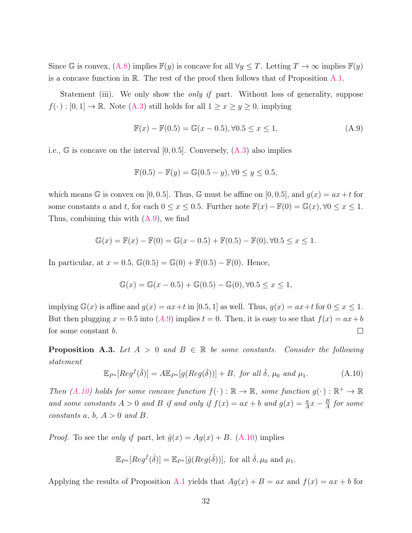Since G is convex, [\(A.8\)](#page-30-0) implies  $\mathbb{F}(y)$  is concave for all  $\forall y \leq T$ . Letting  $T \to \infty$  implies  $\mathbb{F}(y)$ is a concave function in  $\mathbb R$ . The rest of the proof then follows that of Proposition [A.1.](#page-29-5)

Statement (iii). We only show the *only if* part. Without loss of generality, suppose  $f(\cdot) : [0, 1] \to \mathbb{R}$ . Note [\(A.3\)](#page-29-1) still holds for all  $1 \ge x \ge y \ge 0$ , implying

<span id="page-31-1"></span>
$$
\mathbb{F}(x) - \mathbb{F}(0.5) = \mathbb{G}(x - 0.5), \forall 0.5 \le x \le 1,
$$
\n(A.9)

i.e.,  $\mathbb{G}$  is concave on the interval [0, 0.5]. Conversely,  $(A.3)$  also implies

$$
\mathbb{F}(0.5) - \mathbb{F}(y) = \mathbb{G}(0.5 - y), \forall 0 \le y \le 0.5,
$$

which means G is convex on [0, 0.5]. Thus, G must be affine on [0, 0.5], and  $g(x) = ax + t$  for some constants a and t, for each  $0 \le x \le 0.5$ . Further note  $\mathbb{F}(x) - \mathbb{F}(0) = \mathbb{G}(x)$ ,  $\forall 0 \le x \le 1$ . Thus, combining this with  $(A.9)$ , we find

$$
\mathbb{G}(x) = \mathbb{F}(x) - \mathbb{F}(0) = \mathbb{G}(x - 0.5) + \mathbb{F}(0.5) - \mathbb{F}(0), \forall 0.5 \le x \le 1.
$$

In particular, at  $x = 0.5$ ,  $\mathbb{G}(0.5) = \mathbb{G}(0) + \mathbb{F}(0.5) - \mathbb{F}(0)$ . Hence,

$$
\mathbb{G}(x) = \mathbb{G}(x - 0.5) + \mathbb{G}(0.5) - \mathbb{G}(0), \forall 0.5 \le x \le 1,
$$

implying  $\mathbb{G}(x)$  is affine and  $g(x) = ax + t$  in [0.5, 1] as well. Thus,  $g(x) = ax + t$  for  $0 \le x \le 1$ . But then plugging  $x = 0.5$  into  $(A.9)$  $(A.9)$  $(A.9)$  implies  $t = 0$ . Then, it is easy to see that  $f(x) = ax + b$  $\Box$ for some constant b.

<span id="page-31-0"></span>**Proposition A.3.** Let  $A > 0$  and  $B \in \mathbb{R}$  be some constants. Consider the following statement

<span id="page-31-2"></span>
$$
\mathbb{E}_{P^n}[Reg^f(\hat{\delta})] = A \mathbb{E}_{P^n}[g(Reg(\hat{\delta}))] + B, \text{ for all } \hat{\delta}, \mu_0 \text{ and } \mu_1.
$$
 (A.10)

Then  $(A.10)$  holds for some concave function  $f(\cdot): \mathbb{R} \to \mathbb{R}$ , some function  $g(\cdot): \mathbb{R}^+ \to \mathbb{R}$ and some constants  $A > 0$  and  $B$  if and only if  $f(x) = ax + b$  and  $g(x) = \frac{a}{A}x - \frac{B}{A}$  $\frac{B}{A}$  for some constants a, b,  $A > 0$  and B.

*Proof.* To see the *only if* part, let  $\tilde{g}(x) = Ag(x) + B$ . [\(A.10\)](#page-31-2) implies

$$
\mathbb{E}_{P^n}[Reg^f(\hat{\delta})] = \mathbb{E}_{P^n}[\tilde{g}(Reg(\hat{\delta}))], \text{ for all } \hat{\delta}, \mu_0 \text{ and } \mu_1.
$$

Applying the results of Proposition [A.1](#page-29-5) yields that  $Ag(x) + B = ax$  and  $f(x) = ax + b$  for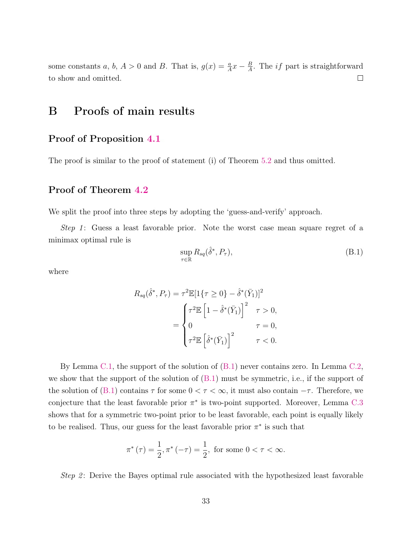some constants a, b,  $A > 0$  and B. That is,  $g(x) = \frac{a}{A}x - \frac{B}{A}$  $\frac{B}{A}$ . The *if* part is straightforward to show and omitted.  $\Box$ 

# <span id="page-32-0"></span>B Proofs of main results

### Proof of Proposition [4.1](#page-14-1)

The proof is similar to the proof of statement (i) of Theorem [5.2](#page-21-0) and thus omitted.

### Proof of Theorem [4.2](#page-15-1)

We split the proof into three steps by adopting the 'guess-and-verify' approach.

Step 1: Guess a least favorable prior. Note the worst case mean square regret of a minimax optimal rule is

<span id="page-32-1"></span>
$$
\sup_{\tau \in \mathbb{R}} R_{sq}(\hat{\delta}^*, P_{\tau}), \tag{B.1}
$$

where

$$
R_{sq}(\hat{\delta}^*, P_{\tau}) = \tau^2 \mathbb{E} [1\{\tau \ge 0\} - \hat{\delta}^*(\bar{Y}_1)]^2
$$
  
= 
$$
\begin{cases} \tau^2 \mathbb{E} \left[1 - \hat{\delta}^*(\bar{Y}_1)\right]^2 & \tau > 0, \\ 0 & \tau = 0, \\ \tau^2 \mathbb{E} \left[\hat{\delta}^*(\bar{Y}_1)\right]^2 & \tau < 0. \end{cases}
$$

By Lemma [C.1,](#page-37-0) the support of the solution of [\(B.1\)](#page-32-1) never contains zero. In Lemma [C.2,](#page-37-1) we show that the support of the solution of [\(B.1\)](#page-32-1) must be symmetric, i.e., if the support of the solution of [\(B.1\)](#page-32-1) contains  $\tau$  for some  $0 < \tau < \infty$ , it must also contain  $-\tau$ . Therefore, we conjecture that the least favorable prior  $\pi^*$  is two-point supported. Moreover, Lemma [C.3](#page-39-0) shows that for a symmetric two-point prior to be least favorable, each point is equally likely to be realised. Thus, our guess for the least favorable prior  $\pi^*$  is such that

$$
\pi^*(\tau) = \frac{1}{2}, \pi^*(-\tau) = \frac{1}{2}
$$
, for some  $0 < \tau < \infty$ .

*Step 2*: Derive the Bayes optimal rule associated with the hypothesized least favorable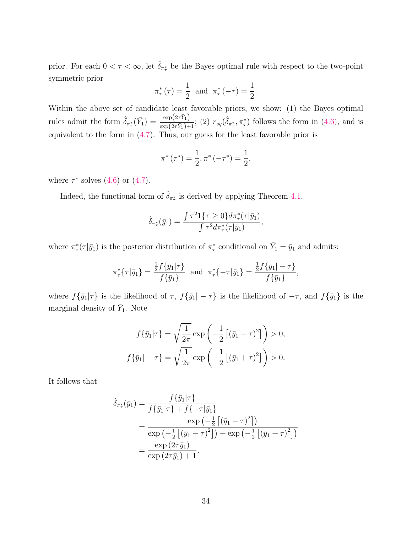prior. For each  $0 < \tau < \infty$ , let  $\hat{\delta}_{\pi^*_{\tau}}$  be the Bayes optimal rule with respect to the two-point symmetric prior

$$
\pi_{\tau}^{*}(\tau) = \frac{1}{2}
$$
 and  $\pi_{\tau}^{*}(-\tau) = \frac{1}{2}$ .

Within the above set of candidate least favorable priors, we show: (1) the Bayes optimal rules admit the form  $\hat{\delta}_{\pi^*_{\tau}}(\bar{Y}_1) = \frac{\exp(2\tau \bar{Y}_1)}{\exp(2\tau \bar{Y}_1)+1}$ ; (2)  $r_{sq}(\hat{\delta}_{\pi^*_{\tau}}, \pi^*_{\tau})$  follows the form in [\(4.6\)](#page-15-2), and is equivalent to the form in [\(4.7\)](#page-15-3). Thus, our guess for the least favorable prior is

$$
\pi^*(\tau^*) = \frac{1}{2}, \pi^*(-\tau^*) = \frac{1}{2},
$$

where  $\tau^*$  solves  $(4.6)$  or  $(4.7)$ .

Indeed, the functional form of  $\hat{\delta}_{\pi^*_{\tau}}$  is derived by applying Theorem [4.1,](#page-11-1)

$$
\hat{\delta}_{\pi_{\tau}^{*}}(\bar{y}_{1}) = \frac{\int \tau^{2} 1\{\tau \geq 0\} d\pi_{\tau}^{*}(\tau | \bar{y}_{1})}{\int \tau^{2} d\pi_{\tau}^{*}(\tau | \bar{y}_{1})},
$$

where  $\pi^*_{\tau}(\tau|\bar{y}_1)$  is the posterior distribution of  $\pi^*_{\tau}$  conditional on  $\bar{Y}_1 = \bar{y}_1$  and admits:

$$
\pi_{\tau}^*\{\tau|\bar{y}_1\} = \frac{\frac{1}{2}f\{\bar{y}_1|\tau\}}{f\{\bar{y}_1\}} \text{ and } \pi_{\tau}^*\{-\tau|\bar{y}_1\} = \frac{\frac{1}{2}f\{\bar{y}_1| - \tau\}}{f\{\bar{y}_1\}},
$$

where  $f{\bar{y}_1|\tau}$  is the likelihood of  $\tau$ ,  $f{\bar{y}_1|\tau} - \tau}$  is the likelihood of  $-\tau$ , and  $f{\bar{y}_1}$  is the marginal density of  $\bar{Y}_1$ . Note

$$
f\{\bar{y}_1|\tau\} = \sqrt{\frac{1}{2\pi}} \exp\left(-\frac{1}{2}\left[ (\bar{y}_1 - \tau)^2 \right] \right) > 0,
$$
  

$$
f\{\bar{y}_1| - \tau\} = \sqrt{\frac{1}{2\pi}} \exp\left(-\frac{1}{2}\left[ (\bar{y}_1 + \tau)^2 \right] \right) > 0.
$$

It follows that

$$
\hat{\delta}_{\pi_{\tau}^{*}}(\bar{y}_{1}) = \frac{f\{\bar{y}_{1}|\tau\}}{f\{\bar{y}_{1}|\tau\} + f\{-\tau|\bar{y}_{1}\}} \\
= \frac{\exp(-\frac{1}{2}[(\bar{y}_{1} - \tau)^{2}])}{\exp(-\frac{1}{2}[(\bar{y}_{1} - \tau)^{2}]) + \exp(-\frac{1}{2}[(\bar{y}_{1} + \tau)^{2}])} \\
= \frac{\exp(2\tau\bar{y}_{1})}{\exp(2\tau\bar{y}_{1}) + 1}.
$$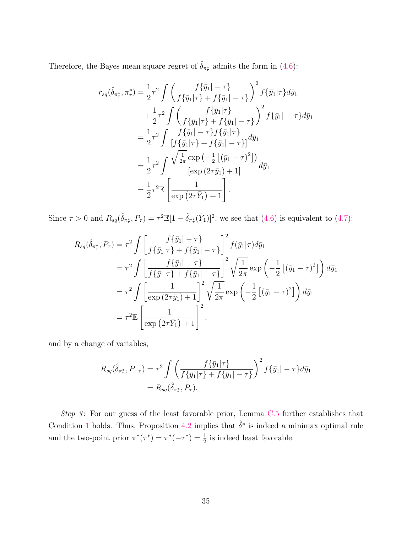Therefore, the Bayes mean square regret of  $\hat{\delta}_{\pi^*_{\tau}}$  admits the form in [\(4.6\)](#page-15-2):

$$
r_{sq}(\hat{\delta}_{\pi_{\tau}^{*}}, \pi_{\tau}^{*}) = \frac{1}{2}\tau^{2} \int \left(\frac{f\{\bar{y}_{1} | - \tau\}}{f\{\bar{y}_{1} | \tau\} + f\{\bar{y}_{1} | - \tau\}}\right)^{2} f\{\bar{y}_{1} | \tau\} d\bar{y}_{1} + \frac{1}{2}\tau^{2} \int \left(\frac{f\{\bar{y}_{1} | \tau\}}{f\{\bar{y}_{1} | \tau\} + f\{\bar{y}_{1} | - \tau\}}\right)^{2} f\{\bar{y}_{1} | - \tau\} d\bar{y}_{1} = \frac{1}{2}\tau^{2} \int \frac{f\{\bar{y}_{1} | - \tau\} f\{\bar{y}_{1} | \tau\}}{[f\{\bar{y}_{1} | \tau\} + f\{\bar{y}_{1} | - \tau\}]} d\bar{y}_{1} = \frac{1}{2}\tau^{2} \int \frac{\sqrt{\frac{1}{2\pi}} \exp\left(-\frac{1}{2}\left[(\bar{y}_{1} - \tau)^{2}\right]\right)}{[\exp\left(2\tau \bar{y}_{1}\right) + 1]} d\bar{y}_{1} = \frac{1}{2}\tau^{2} \mathbb{E}\left[\frac{1}{\exp\left(2\tau \bar{Y}_{1}\right) + 1}\right].
$$

Since  $\tau > 0$  and  $R_{sq}(\hat{\delta}_{\pi^*_{\tau}}, P_{\tau}) = \tau^2 \mathbb{E}[1 - \hat{\delta}_{\pi^*_{\tau}}(\bar{Y}_1)]^2$ , we see that  $(4.6)$  is equivalent to  $(4.7)$ :

$$
R_{sq}(\hat{\delta}_{\pi_{\tau}^{*}}, P_{\tau}) = \tau^{2} \int \left[ \frac{f\{\bar{y}_{1} | - \tau\}}{f\{\bar{y}_{1} | \tau\} + f\{\bar{y}_{1} | - \tau\}} \right]^{2} f(\bar{y}_{1} | \tau) d\bar{y}_{1}
$$
  
\n
$$
= \tau^{2} \int \left[ \frac{f\{\bar{y}_{1} | - \tau\}}{f\{\bar{y}_{1} | \tau\} + f\{\bar{y}_{1} | - \tau\}} \right]^{2} \sqrt{\frac{1}{2\pi}} \exp\left(-\frac{1}{2} \left[ (\bar{y}_{1} - \tau)^{2} \right] \right) d\bar{y}_{1}
$$
  
\n
$$
= \tau^{2} \int \left[ \frac{1}{\exp(2\tau \bar{y}_{1}) + 1} \right]^{2} \sqrt{\frac{1}{2\pi}} \exp\left(-\frac{1}{2} \left[ (\bar{y}_{1} - \tau)^{2} \right] \right) d\bar{y}_{1}
$$
  
\n
$$
= \tau^{2} \mathbb{E} \left[ \frac{1}{\exp(2\tau \bar{Y}_{1}) + 1} \right]^{2},
$$

and by a change of variables,

$$
R_{sq}(\hat{\delta}_{\pi_{\tau}^*}, P_{-\tau}) = \tau^2 \int \left( \frac{f\{\bar{y}_1|\tau\}}{f\{\bar{y}_1|\tau\} + f\{\bar{y}_1| - \tau\}} \right)^2 f\{\bar{y}_1| - \tau\} d\bar{y}_1
$$
  
=  $R_{sq}(\hat{\delta}_{\pi_{\tau}^*}, P_{\tau}).$ 

Step 3: For our guess of the least favorable prior, Lemma [C.5](#page-43-0) further establishes that Condition [1](#page-17-1) holds. Thus, Proposition [4.2](#page-15-1) implies that  $\hat{\delta}^*$  is indeed a minimax optimal rule and the two-point prior  $\pi^*(\tau^*) = \pi^*(-\tau^*) = \frac{1}{2}$  is indeed least favorable.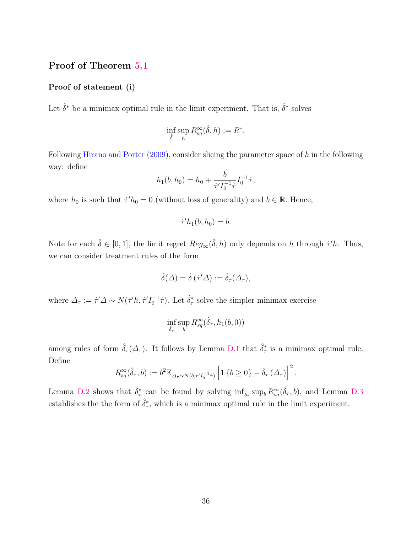### Proof of Theorem [5.1](#page-20-1)

#### Proof of statement (i)

Let  $\hat{\delta}^*$  be a minimax optimal rule in the limit experiment. That is,  $\hat{\delta}^*$  solves

$$
\inf_{\hat{\delta}} \sup_h R_{sq}^{\infty}(\hat{\delta}, h) := R^*.
$$

Following [Hirano and Porter](#page-50-1) [\(2009\)](#page-50-1), consider slicing the parameter space of h in the following way: define

$$
h_1(b, h_0) = h_0 + \frac{b}{\dot{\tau}' I_0^{-1} \dot{\tau}} I_0^{-1} \dot{\tau},
$$

where  $h_0$  is such that  $\dot{\tau}' h_0 = 0$  (without loss of generality) and  $b \in \mathbb{R}$ . Hence,

$$
\dot{\tau}'h_1(b,h_0)=b.
$$

Note for each  $\hat{\delta} \in [0,1]$ , the limit regret  $Reg_{\infty}(\hat{\delta}, h)$  only depends on h through  $\dot{\tau}'h$ . Thus, we can consider treatment rules of the form

$$
\hat{\delta}(\Delta) = \hat{\delta}(\dot{\tau}'\Delta) := \hat{\delta}_{\tau}(\Delta_{\tau}),
$$

where  $\Delta_{\tau} := \dot{\tau}' \Delta \sim N(\dot{\tau}' h, \dot{\tau}' I_0^{-1} \dot{\tau}).$  Let  $\hat{\delta}_{\tau}^*$  solve the simpler minimax exercise

$$
\inf_{\hat{\delta}_\tau}\sup_b R^\infty_{sq}(\hat{\delta}_\tau,h_1(b,0))
$$

among rules of form  $\hat{\delta}_{\tau}(\Delta_{\tau})$ . It follows by Lemma [D.1](#page-47-0) that  $\hat{\delta}_{\tau}^{*}$  is a minimax optimal rule. Define

$$
R_{sq}^{\infty}(\hat{\delta}_{\tau},b) := b^2 \mathbb{E}_{\Delta_{\tau} \sim N(b,\dot{\tau}' I_0^{-1} \dot{\tau})} \left[ 1 \left\{ b \ge 0 \right\} - \hat{\delta}_{\tau} \left( \Delta_{\tau} \right) \right]^2.
$$

Lemma [D.2](#page-48-0) shows that  $\hat{\delta}^*_{\tau}$  can be found by solving  $\inf_{\hat{\delta}_{\tau}} \sup_b R^{\infty}_{sq}(\hat{\delta}_{\tau}, b)$ , and Lemma [D.3](#page-48-1) establishes the the form of  $\hat{\delta}^*_{\tau}$ , which is a minimax optimal rule in the limit experiment.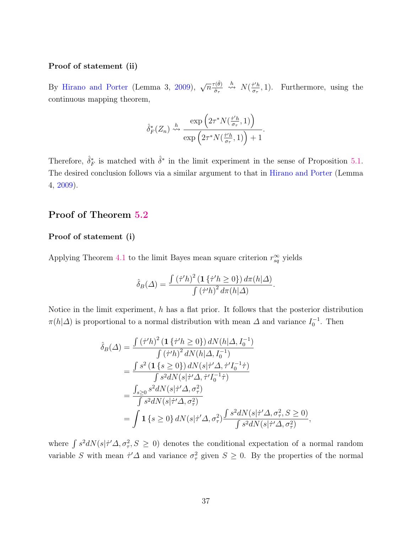#### Proof of statement (ii)

By [Hirano and Porter](#page-50-1) (Lemma 3, [2009\)](#page-50-1),  $\sqrt{n} \frac{\tau(\hat{\theta})}{\hat{\sigma}}$  $\frac{\partial \hat{\theta}}{\partial \tau} \stackrel{h}{\rightsquigarrow} N(\frac{\dot{\tau}' h}{\sigma_{\tau}})$  $\frac{\dot{\tau}' h}{\sigma_{\tau}}$ , 1). Furthermore, using the continuous mapping theorem,

$$
\hat{\delta}_F^*(Z_n) \stackrel{h}{\leadsto} \frac{\exp\left(2\tau^* N(\frac{\dot{\tau}' h}{\sigma_{\tau}}, 1)\right)}{\exp\left(2\tau^* N(\frac{\dot{\tau}' h}{\sigma_{\tau}}, 1)\right) + 1}.
$$

Therefore,  $\hat{\delta}_F^*$  is matched with  $\hat{\delta}^*$  in the limit experiment in the sense of Proposition [5.1.](#page-19-0) The desired conclusion follows via a similar argument to that in [Hirano and Porter](#page-50-1) (Lemma 4, [2009\)](#page-50-1).

### Proof of Theorem [5.2](#page-21-0)

#### Proof of statement (i)

Applying Theorem [4.1](#page-11-1) to the limit Bayes mean square criterion  $r_{sq}^{\infty}$  yields

$$
\hat{\delta}_B(\Delta) = \frac{\int (\dot{\tau}' h)^2 (1 \{\dot{\tau}' h \ge 0\}) d\pi(h|\Delta)}{\int (\dot{\tau}' h)^2 d\pi(h|\Delta)}.
$$

Notice in the limit experiment,  $h$  has a flat prior. It follows that the posterior distribution  $\pi(h|\Delta)$  is proportional to a normal distribution with mean  $\Delta$  and variance  $I_0^{-1}$ . Then

$$
\hat{\delta}_B(\Delta) = \frac{\int (\dot{\tau}' h)^2 (1 \{\dot{\tau}' h \ge 0\}) dN(h|\Delta, I_0^{-1})}{\int (\dot{\tau}' h)^2 dN(h|\Delta, I_0^{-1})}
$$
  
\n
$$
= \frac{\int s^2 (1 \{s \ge 0\}) dN(s | \dot{\tau}' \Delta, \dot{\tau}' I_0^{-1} \dot{\tau})}{\int s^2 dN(s | \dot{\tau}' \Delta, \dot{\tau}' I_0^{-1} \dot{\tau})}
$$
  
\n
$$
= \frac{\int_{s \ge 0} s^2 dN(s | \dot{\tau}' \Delta, \sigma_\tau^2)}{\int s^2 dN(s | \dot{\tau}' \Delta, \sigma_\tau^2)}
$$
  
\n
$$
= \int 1 \{s \ge 0\} dN(s | \dot{\tau}' \Delta, \sigma_\tau^2) \frac{\int s^2 dN(s | \dot{\tau}' \Delta, \sigma_\tau^2, S \ge 0)}{\int s^2 dN(s | \dot{\tau}' \Delta, \sigma_\tau^2)}
$$

where  $\int s^2 dN(s|\tau'\Delta, \sigma_\tau^2, S \geq 0)$  denotes the conditional expectation of a normal random variable S with mean  $\dot{\tau}'\Delta$  and variance  $\sigma^2_{\tau}$  given  $S \geq 0$ . By the properties of the normal

,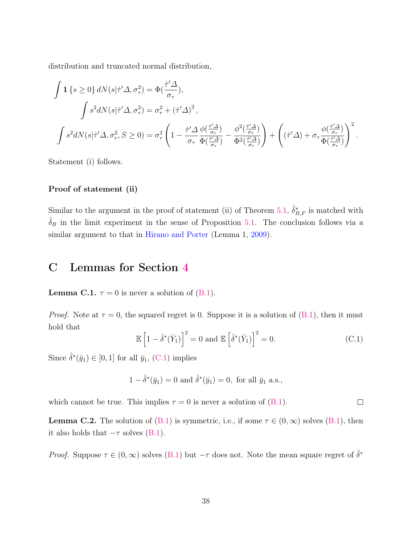distribution and truncated normal distribution,

$$
\begin{aligned} \int \mathbf{1} \left\{ s \geq 0 \right\} dN(s | \dot{\tau}' \Delta, \sigma_{\tau}^2) &= \Phi(\frac{\dot{\tau}' \Delta}{\sigma_{\tau}}), \\ \int s^2 dN(s | \dot{\tau}' \Delta, \sigma_{\tau}^2) &= \sigma_{\tau}^2 + \left(\dot{\tau}' \Delta\right)^2, \\ \int s^2 dN(s | \dot{\tau}' \Delta, \sigma_{\tau}^2, S \geq 0) &= \sigma_{\tau}^2 \left( 1 - \frac{\dot{\tau}' \Delta}{\sigma_{\tau}} \frac{\phi(\frac{\dot{\tau}' \Delta}{\sigma_{\tau}})}{\Phi(\frac{\dot{\tau}' \Delta}{\sigma_{\tau}})} - \frac{\phi^2(\frac{\dot{\tau}' \Delta}{\sigma_{\tau}})}{\Phi^2(\frac{\dot{\tau}' \Delta}{\sigma_{\tau}})} \right) + \left( \left(\dot{\tau}' \Delta\right) + \sigma_{\tau} \frac{\phi(\frac{\dot{\tau}' \Delta}{\sigma_{\tau}})}{\Phi(\frac{\dot{\tau}' \Delta}{\sigma_{\tau}})} \right)^2. \end{aligned}
$$

Statement (i) follows.

#### Proof of statement (ii)

Similar to the argument in the proof of statement (ii) of Theorem [5.1,](#page-20-1)  $\hat{\delta}_{B,F}^*$  is matched with  $\hat{\delta}_B$  in the limit experiment in the sense of Proposition [5.1.](#page-19-0) The conclusion follows via a similar argument to that in [Hirano and Porter](#page-50-1) (Lemma 1, [2009\)](#page-50-1).

# C Lemmas for Section [4](#page-10-0)

<span id="page-37-0"></span>**Lemma C.1.**  $\tau = 0$  is never a solution of  $(B.1)$ .

*Proof.* Note at  $\tau = 0$ , the squared regret is 0. Suppose it is a solution of [\(B.1\)](#page-32-1), then it must hold that

<span id="page-37-2"></span>
$$
\mathbb{E}\left[1-\hat{\delta}^*(\bar{Y}_1)\right]^2 = 0 \text{ and } \mathbb{E}\left[\hat{\delta}^*(\bar{Y}_1)\right]^2 = 0.
$$
 (C.1)

Since  $\hat{\delta}^*(\bar{y}_1) \in [0, 1]$  for all  $\bar{y}_1$ , [\(C.1\)](#page-37-2) implies

$$
1 - \hat{\delta}^*(\bar{y}_1) = 0
$$
 and  $\hat{\delta}^*(\bar{y}_1) = 0$ , for all  $\bar{y}_1$  a.s.,

which cannot be true. This implies  $\tau = 0$  is never a solution of [\(B.1\)](#page-32-1).  $\Box$ 

<span id="page-37-1"></span>**Lemma C.2.** The solution of [\(B.1\)](#page-32-1) is symmetric, i.e., if some  $\tau \in (0,\infty)$  solves (B.1), then it also holds that  $-\tau$  solves [\(B.1\)](#page-32-1).

*Proof.* Suppose  $\tau \in (0, \infty)$  solves [\(B.1\)](#page-32-1) but  $-\tau$  does not. Note the mean square regret of  $\hat{\delta}^*$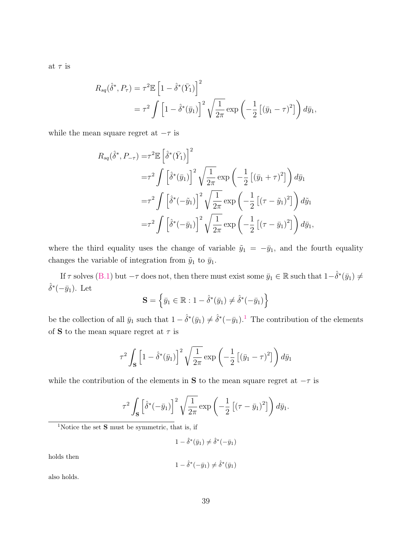at  $\tau$  is

$$
R_{sq}(\hat{\delta}^*, P_\tau) = \tau^2 \mathbb{E} \left[ 1 - \hat{\delta}^*(\bar{Y}_1) \right]^2
$$
  
= 
$$
\tau^2 \int \left[ 1 - \hat{\delta}^*(\bar{y}_1) \right]^2 \sqrt{\frac{1}{2\pi}} \exp \left( -\frac{1}{2} \left[ (\bar{y}_1 - \tau)^2 \right] \right) d\bar{y}_1,
$$

while the mean square regret at  $-\tau$  is

$$
R_{sq}(\hat{\delta}^*, P_{-\tau}) = \tau^2 \mathbb{E} \left[ \hat{\delta}^*(\bar{Y}_1) \right]^2
$$
  

$$
= \tau^2 \int \left[ \hat{\delta}^*(\bar{y}_1) \right]^2 \sqrt{\frac{1}{2\pi}} \exp \left( -\frac{1}{2} \left[ (\bar{y}_1 + \tau)^2 \right] \right) d\bar{y}_1
$$
  

$$
= \tau^2 \int \left[ \hat{\delta}^*(-\tilde{y}_1) \right]^2 \sqrt{\frac{1}{2\pi}} \exp \left( -\frac{1}{2} \left[ (\tau - \tilde{y}_1)^2 \right] \right) d\tilde{y}_1
$$
  

$$
= \tau^2 \int \left[ \hat{\delta}^*(-\bar{y}_1) \right]^2 \sqrt{\frac{1}{2\pi}} \exp \left( -\frac{1}{2} \left[ (\tau - \bar{y}_1)^2 \right] \right) d\bar{y}_1,
$$

where the third equality uses the change of variable  $\tilde{y}_1 = -\bar{y}_1$ , and the fourth equality changes the variable of integration from  $\tilde{y}_1$  to  $\bar{y}_1$ .

If  $\tau$  solves [\(B.1\)](#page-32-1) but  $-\tau$  does not, then there must exist some  $\bar{y}_1 \in \mathbb{R}$  such that  $1-\hat{\delta}^*(\bar{y}_1) \neq$  $\hat{\delta}^*(-\bar{y}_1)$ . Let

$$
\mathbf{S} = \left\{ \bar{y}_1 \in \mathbb{R} : 1 - \hat{\delta}^*(\bar{y}_1) \neq \hat{\delta}^*(-\bar{y}_1) \right\}
$$

be the collection of all  $\bar{y}_1$  $\bar{y}_1$  such that  $1-\hat{\delta}^*(\bar{y}_1) \neq \hat{\delta}^*(-\bar{y}_1).$ <sup>1</sup> The contribution of the elements of S to the mean square regret at  $\tau$  is

$$
\tau^2 \int_{\mathbf{S}} \left[1 - \hat{\delta}^*(\bar{y}_1)\right]^2 \sqrt{\frac{1}{2\pi}} \exp\left(-\frac{1}{2}\left[(\bar{y}_1 - \tau)^2\right]\right) d\bar{y}_1
$$

while the contribution of the elements in S to the mean square regret at  $-\tau$  is

$$
\tau^2 \int_{\mathbf{S}} \left[ \hat{\delta}^*(-\bar{y}_1) \right]^2 \sqrt{\frac{1}{2\pi}} \exp\left( -\frac{1}{2} \left[ (\tau - \bar{y}_1)^2 \right] \right) d\bar{y}_1.
$$

<span id="page-38-0"></span><sup>1</sup>Notice the set **S** must be symmetric, that is, if

 $1 - \hat{\delta}^*(\bar{y}_1) \neq \hat{\delta}^*(-\bar{y}_1)$ 

holds then

$$
1 - \hat{\delta}^*(-\bar{y}_1) \neq \hat{\delta}^*(\bar{y}_1)
$$

also holds.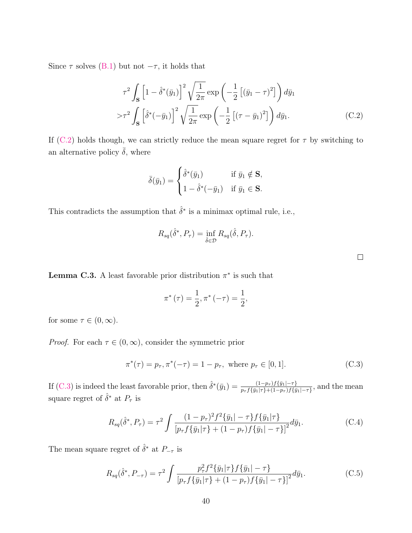Since  $\tau$  solves [\(B.1\)](#page-32-1) but not  $-\tau$ , it holds that

$$
\tau^2 \int_{\mathbf{S}} \left[ 1 - \hat{\delta}^*(\bar{y}_1) \right]^2 \sqrt{\frac{1}{2\pi}} \exp\left( -\frac{1}{2} \left[ (\bar{y}_1 - \tau)^2 \right] \right) d\bar{y}_1
$$
  
>
$$
\tau^2 \int_{\mathbf{S}} \left[ \hat{\delta}^*(-\bar{y}_1) \right]^2 \sqrt{\frac{1}{2\pi}} \exp\left( -\frac{1}{2} \left[ (\tau - \bar{y}_1)^2 \right] \right) d\bar{y}_1.
$$
 (C.2)

If [\(C.2\)](#page-39-1) holds though, we can strictly reduce the mean square regret for  $\tau$  by switching to an alternative policy  $\bar{\delta}$ , where

$$
\bar{\delta}(\bar{y}_1) = \begin{cases} \hat{\delta}^*(\bar{y}_1) & \text{if } \bar{y}_1 \notin \mathbf{S}, \\ 1 - \hat{\delta}^*(-\bar{y}_1) & \text{if } \bar{y}_1 \in \mathbf{S}. \end{cases}
$$

This contradicts the assumption that  $\hat{\delta}^*$  is a minimax optimal rule, i.e.,

$$
R_{sq}(\hat{\delta}^*, P_{\tau}) = \inf_{\hat{\delta} \in \mathcal{D}} R_{sq}(\hat{\delta}, P_{\tau}).
$$

<span id="page-39-0"></span>**Lemma C.3.** A least favorable prior distribution  $\pi^*$  is such that

$$
\pi^*(\tau) = \frac{1}{2}, \pi^*(-\tau) = \frac{1}{2},
$$

for some  $\tau \in (0, \infty)$ .

*Proof.* For each  $\tau \in (0, \infty)$ , consider the symmetric prior

<span id="page-39-2"></span>
$$
\pi^*(\tau) = p_\tau, \pi^*(-\tau) = 1 - p_\tau, \text{ where } p_\tau \in [0, 1]. \tag{C.3}
$$

If [\(C.3\)](#page-39-2) is indeed the least favorable prior, then  $\hat{\delta}^*(\bar{y}_1) = \frac{(1-p_{\tau})f\{\bar{y}_1 | - \tau\}}{p_{\tau} f\{\bar{y}_1 | \tau\} + (1-p_{\tau})f\{\bar{y}_1 | - \tau\}}$ , and the mean square regret of  $\hat{\delta}^*$  at  $P_{\tau}$  is

$$
R_{sq}(\hat{\delta}^*, P_{\tau}) = \tau^2 \int \frac{(1 - p_{\tau})^2 f^2 \{\bar{y}_1 | -\tau\} f \{\bar{y}_1 | \tau\}}{[p_{\tau} f \{\bar{y}_1 | \tau\} + (1 - p_{\tau}) f \{\bar{y}_1 | -\tau\}]^2} d\bar{y}_1.
$$
 (C.4)

The mean square regret of  $\hat{\delta}^*$  at  $P_{-\tau}$  is

$$
R_{sq}(\hat{\delta}^*, P_{-\tau}) = \tau^2 \int \frac{p_{\tau}^2 f^2 \{\bar{y}_1 | \tau\} f \{\bar{y}_1 | -\tau\}}{\left[p_{\tau} f \{\bar{y}_1 | \tau\} + (1 - p_{\tau}) f \{\bar{y}_1 | -\tau\}\right]^2} d\bar{y}_1.
$$
(C.5)

<span id="page-39-4"></span><span id="page-39-3"></span><span id="page-39-1"></span> $\Box$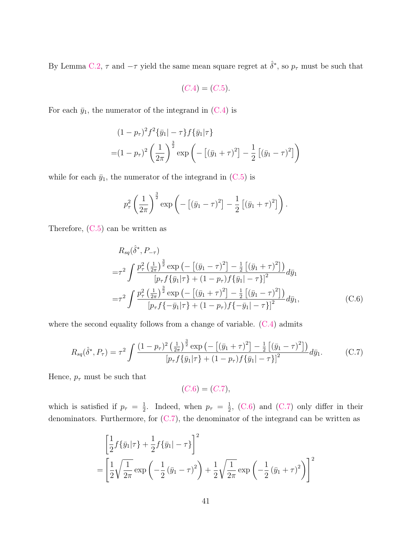By Lemma [C.2,](#page-37-1)  $\tau$  and  $-\tau$  yield the same mean square regret at  $\hat{\delta}^*$ , so  $p_{\tau}$  must be such that

$$
(C.4)=(C.5).
$$

For each  $\bar{y}_1$ , the numerator of the integrand in [\(C.4\)](#page-39-3) is

$$
(1 - p_{\tau})^2 f^2 {\bar{y}_1 | - \tau} f {\bar{y}_1 | \tau}
$$
  
=  $(1 - p_{\tau})^2 \left(\frac{1}{2\pi}\right)^{\frac{3}{2}} \exp\left(-\left[ (\bar{y}_1 + \tau)^2\right] - \frac{1}{2}\left[ (\bar{y}_1 - \tau)^2\right]\right)$ 

while for each  $\bar{y}_1$ , the numerator of the integrand in  $(C.5)$  is

$$
p_{\tau}^{2} \left(\frac{1}{2\pi}\right)^{\frac{3}{2}} \exp \left(-\left[(\bar{y}_{1} - \tau)^{2}\right] - \frac{1}{2}\left[(\bar{y}_{1} + \tau)^{2}\right]\right).
$$

Therefore, [\(C.5\)](#page-39-4) can be written as

$$
R_{sq}(\hat{\delta}^*, P_{-\tau})
$$
  
= $\tau^2 \int \frac{p_\tau^2 \left(\frac{1}{2\pi}\right)^{\frac{3}{2}} \exp\left(-\left[(\bar{y}_1 - \tau)^2\right] - \frac{1}{2}\left[(\bar{y}_1 + \tau)^2\right]\right)}{\left[p_\tau f\{\bar{y}_1|\tau\} + (1 - p_\tau) f\{\bar{y}_1| - \tau\}\right]^2} d\bar{y}_1$   
= $\tau^2 \int \frac{p_\tau^2 \left(\frac{1}{2\pi}\right)^{\frac{3}{2}} \exp\left(-\left[(\bar{y}_1 + \tau)^2\right] - \frac{1}{2}\left[(\bar{y}_1 - \tau)^2\right]\right)}{\left[p_\tau f\{-\bar{y}_1|\tau\} + (1 - p_\tau) f\{-\bar{y}_1| - \tau\}\right]^2} d\bar{y}_1,$  (C.6)

where the second equality follows from a change of variable.  $(C.4)$  admits

<span id="page-40-1"></span>
$$
R_{sq}(\hat{\delta}^*, P_{\tau}) = \tau^2 \int \frac{(1 - p_{\tau})^2 \left(\frac{1}{2\pi}\right)^{\frac{3}{2}} \exp\left(-\left[(\bar{y}_1 + \tau)^2\right] - \frac{1}{2}\left[(\bar{y}_1 - \tau)^2\right]\right)}{\left[p_{\tau} f\{\bar{y}_1|\tau\} + (1 - p_{\tau})f\{\bar{y}_1| - \tau\}\right]^2} d\bar{y}_1.
$$
 (C.7)

Hence,  $p_{\tau}$  must be such that

<span id="page-40-0"></span> $(C.6) = (C.7),$  $(C.6) = (C.7),$  $(C.6) = (C.7),$ 

which is satisfied if  $p_\tau = \frac{1}{2}$  $\frac{1}{2}$ . Indeed, when  $p_{\tau} = \frac{1}{2}$  $\frac{1}{2}$ , [\(C.6\)](#page-40-0) and [\(C.7\)](#page-40-1) only differ in their denominators. Furthermore, for [\(C.7\)](#page-40-1), the denominator of the integrand can be written as

$$
\left[\frac{1}{2}f\{\bar{y}_1|\tau\} + \frac{1}{2}f\{\bar{y}_1| - \tau\}\right]^2
$$
  
= 
$$
\left[\frac{1}{2}\sqrt{\frac{1}{2\pi}}\exp\left(-\frac{1}{2}(\bar{y}_1 - \tau)^2\right) + \frac{1}{2}\sqrt{\frac{1}{2\pi}}\exp\left(-\frac{1}{2}(\bar{y}_1 + \tau)^2\right)\right]^2
$$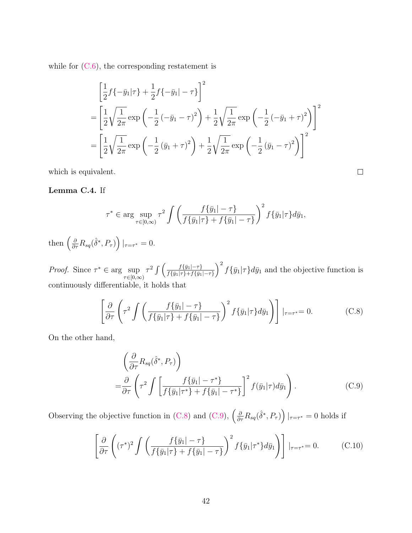while for  $(C.6)$ , the corresponding restatement is

$$
\begin{aligned}\n&\left[\frac{1}{2}f\{-\bar{y}_1|\tau\} + \frac{1}{2}f\{-\bar{y}_1| - \tau\}\right]^2 \\
&= \left[\frac{1}{2}\sqrt{\frac{1}{2\pi}}\exp\left(-\frac{1}{2}\left(-\bar{y}_1 - \tau\right)^2\right) + \frac{1}{2}\sqrt{\frac{1}{2\pi}}\exp\left(-\frac{1}{2}\left(-\bar{y}_1 + \tau\right)^2\right)\right]^2 \\
&= \left[\frac{1}{2}\sqrt{\frac{1}{2\pi}}\exp\left(-\frac{1}{2}\left(\bar{y}_1 + \tau\right)^2\right) + \frac{1}{2}\sqrt{\frac{1}{2\pi}}\exp\left(-\frac{1}{2}\left(\bar{y}_1 - \tau\right)^2\right)\right]^2\n\end{aligned}
$$

which is equivalent.

<span id="page-41-3"></span>Lemma C.4. If

$$
\tau^* \in \arg \sup_{\tau \in [0,\infty)} \tau^2 \int \left( \frac{f\{\bar{y}_1 | -\tau\}}{f\{\bar{y}_1 | \tau\} + f\{\bar{y}_1 | -\tau\}} \right)^2 f\{\bar{y}_1 | \tau\} d\bar{y}_1,
$$

then  $\left(\frac{\partial}{\partial \tau} R_{sq}(\hat{\delta}^*, P_{\tau})\right)|_{\tau=\tau^*}=0.$ 

Proof. Since  $\tau^* \in \arg \sup$  $\tau \in [0,\infty)$  $\tau^2 \int \left( \frac{f\{\bar{y}_1 | - \tau\}}{f\{\bar{y}_1 | - \tau\} + f\{\bar{y}_1\}} \right)$  $f{\{\bar{y}_1|\tau\}}+f{\{\bar{y}_1|-\tau\}}$  $\int^2 f\{\bar{y}_1|\tau\}d\bar{y}_1$  and the objective function is continuously differentiable, it holds that

<span id="page-41-0"></span>
$$
\left[\frac{\partial}{\partial \tau}\left(\tau^2 \int \left(\frac{f\{\bar{y}_1\vert - \tau\}}{f\{\bar{y}_1\vert \tau\} + f\{\bar{y}_1\vert - \tau\}}\right)^2 f\{\bar{y}_1\vert \tau\} d\bar{y}_1\right)\right]\vert_{\tau = \tau^*} = 0.
$$
 (C.8)

On the other hand,

$$
\left(\frac{\partial}{\partial \tau} R_{sq}(\hat{\delta}^*, P_{\tau})\right)
$$
\n
$$
= \frac{\partial}{\partial \tau} \left(\tau^2 \int \left[\frac{f\{\bar{y}_1 | -\tau^*\}}{f\{\bar{y}_1 | \tau^*\} + f\{\bar{y}_1 | -\tau^*\}}\right]^2 f(\bar{y}_1 | \tau) d\bar{y}_1\right).
$$
\n(C.9)

Observing the objective function in [\(C.8\)](#page-41-0) and [\(C.9\)](#page-41-1),  $\left(\frac{\partial}{\partial \tau} R_{sq}(\hat{\delta}^*, P_{\tau})\right)|_{\tau=\tau^*}=0$  holds if

<span id="page-41-2"></span>
$$
\left[\frac{\partial}{\partial \tau}\left((\tau^*)^2 \int \left(\frac{f\{\bar{y}_1 | - \tau\}}{f\{\bar{y}_1 | \tau\} + f\{\bar{y}_1 | - \tau\}}\right)^2 f\{\bar{y}_1 | \tau^*\} d\bar{y}_1\right)\right]|_{\tau = \tau^*} = 0.
$$
 (C.10)

<span id="page-41-1"></span>

| __ | - |  |
|----|---|--|
|    |   |  |
|    |   |  |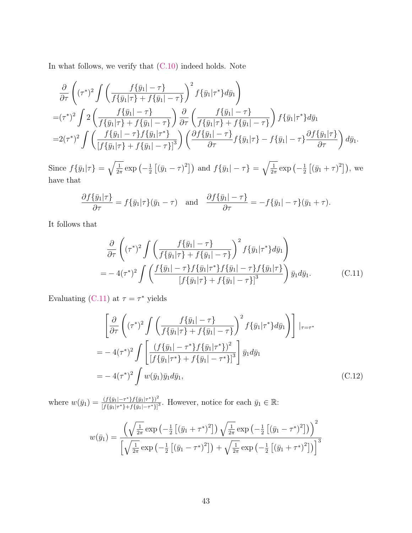In what follows, we verify that [\(C.10\)](#page-41-2) indeed holds. Note

$$
\frac{\partial}{\partial \tau} \left( (\tau^*)^2 \int \left( \frac{f\{\bar{y}_1 | - \tau\}}{f\{\bar{y}_1 | \tau\} + f\{\bar{y}_1 | - \tau\}} \right)^2 f\{\bar{y}_1 | \tau^*\} d\bar{y}_1 \right) \n= (\tau^*)^2 \int 2 \left( \frac{f\{\bar{y}_1 | - \tau\}}{f\{\bar{y}_1 | \tau\} + f\{\bar{y}_1 | - \tau\}} \right) \frac{\partial}{\partial \tau} \left( \frac{f\{\bar{y}_1 | - \tau\}}{f\{\bar{y}_1 | \tau\} + f\{\bar{y}_1 | - \tau\}} \right) f\{\bar{y}_1 | \tau^*\} d\bar{y}_1 \n= 2(\tau^*)^2 \int \left( \frac{f\{\bar{y}_1 | - \tau\} f\{\bar{y}_1 | \tau^*\}}{[f\{\bar{y}_1 | \tau\} + f\{\bar{y}_1 | - \tau\}]^3} \right) \left( \frac{\partial f\{\bar{y}_1 | - \tau\}}{\partial \tau} f\{\bar{y}_1 | \tau\} - f\{\bar{y}_1 | - \tau\} \frac{\partial f\{\bar{y}_1 | \tau\}}{\partial \tau} \right) d\bar{y}_1.
$$

Since  $f\{\bar{y}_1|\tau\} = \sqrt{\frac{1}{2\tau}}$  $\frac{1}{2\pi}$  exp  $\left(-\frac{1}{2}\right)$  $\frac{1}{2} \left[ \left( \bar{y}_1 - \tau \right)^2 \right]$  and  $f\{\bar{y}_1 | -\tau\} = \sqrt{\frac{1}{2\tau}}$  $\frac{1}{2\pi}$  exp  $\left(-\frac{1}{2}\right)$  $\frac{1}{2} [(\bar{y}_1 + \tau)^2]$ , we have that

$$
\frac{\partial f\{\bar{y}_1|\tau\}}{\partial \tau} = f\{\bar{y}_1|\tau\}(\bar{y}_1 - \tau) \quad \text{and} \quad \frac{\partial f\{\bar{y}_1| - \tau\}}{\partial \tau} = -f\{\bar{y}_1| - \tau\}(\bar{y}_1 + \tau).
$$

It follows that

<span id="page-42-0"></span>
$$
\frac{\partial}{\partial \tau} \left( (\tau^*)^2 \int \left( \frac{f\{\bar{y}_1 | - \tau\}}{f\{\bar{y}_1 | \tau\} + f\{\bar{y}_1 | - \tau\}} \right)^2 f\{\bar{y}_1 | \tau^*\} d\bar{y}_1 \right) \n= -4(\tau^*)^2 \int \left( \frac{f\{\bar{y}_1 | -\tau\} f\{\bar{y}_1 | \tau^*\} f\{\bar{y}_1 | -\tau\} f\{\bar{y}_1 | \tau\}}{[f\{\bar{y}_1 | \tau\} + f\{\bar{y}_1 | -\tau\}]^3} \right) \bar{y}_1 d\bar{y}_1.
$$
\n(C.11)

Evaluating [\(C.11\)](#page-42-0) at  $\tau = \tau^*$  yields

<span id="page-42-1"></span>
$$
\left[\frac{\partial}{\partial \tau}\left((\tau^*)^2 \int \left(\frac{f\{\bar{y}_1 | - \tau\}}{f\{\bar{y}_1 | \tau\} + f\{\bar{y}_1 | - \tau\}}\right)^2 f\{\bar{y}_1 | \tau^*\} d\bar{y}_1\right)\right]|_{\tau = \tau^*}
$$
\n
$$
= -4(\tau^*)^2 \int \left[\frac{(f\{\bar{y}_1 | -\tau^*\} f\{\bar{y}_1 | \tau^*\} )^2}{[f\{\bar{y}_1 | \tau^*\} + f\{\bar{y}_1 | -\tau^*\} ]^3}\right] \bar{y}_1 d\bar{y}_1
$$
\n
$$
= -4(\tau^*)^2 \int w(\bar{y}_1) \bar{y}_1 d\bar{y}_1,\tag{C.12}
$$

where  $w(\bar{y}_1) = \frac{(f\{\bar{y}_1 | -\tau^*\} f\{\bar{y}_1 | \tau^*\})^2}{[f\bar{y}_1 | \tau^*\} + [f\bar{y}_1 | \tau^*\}^2]}$  $\frac{(f{\bar{y}_1} - \tau^* )f{\bar{y}_1}(\bar{r}^*)^2}{[f{\bar{y}_1} | \tau^* ] + f{\bar{y}_1} | - \tau^* ]^3}$ . However, notice for each  $\bar{y}_1 \in \mathbb{R}$ :

$$
w(\bar{y}_1) = \frac{\left(\sqrt{\frac{1}{2\pi}} \exp\left(-\frac{1}{2}\left[ (\bar{y}_1 + \tau^*)^2\right] \right) \sqrt{\frac{1}{2\pi}} \exp\left(-\frac{1}{2}\left[ (\bar{y}_1 - \tau^*)^2\right] \right) \right)^2}{\left[\sqrt{\frac{1}{2\pi}} \exp\left(-\frac{1}{2}\left[ (\bar{y}_1 - \tau^*)^2\right] \right) + \sqrt{\frac{1}{2\pi}} \exp\left(-\frac{1}{2}\left[ (\bar{y}_1 + \tau^*)^2\right] \right) \right]^3}
$$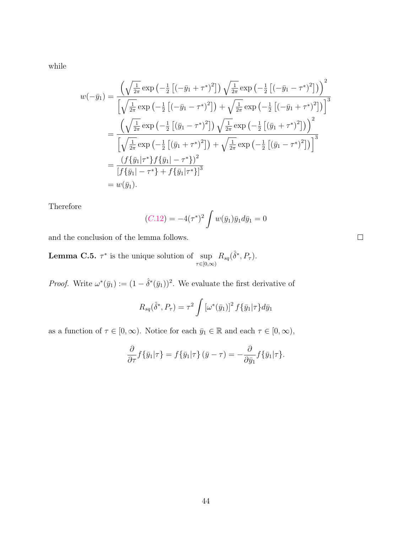while

$$
w(-\bar{y}_1) = \frac{\left(\sqrt{\frac{1}{2\pi}}\exp\left(-\frac{1}{2}\left[(-\bar{y}_1 + \tau^*)^2\right]\right)\sqrt{\frac{1}{2\pi}}\exp\left(-\frac{1}{2}\left[(-\bar{y}_1 - \tau^*)^2\right]\right)\right)^2}{\left[\sqrt{\frac{1}{2\pi}}\exp\left(-\frac{1}{2}\left[(-\bar{y}_1 - \tau^*)^2\right]\right) + \sqrt{\frac{1}{2\pi}}\exp\left(-\frac{1}{2}\left[(-\bar{y}_1 + \tau^*)^2\right]\right)\right]^3}
$$
  
\n
$$
= \frac{\left(\sqrt{\frac{1}{2\pi}}\exp\left(-\frac{1}{2}\left[(\bar{y}_1 - \tau^*)^2\right]\right)\sqrt{\frac{1}{2\pi}}\exp\left(-\frac{1}{2}\left[(\bar{y}_1 + \tau^*)^2\right]\right)\right)^2}{\left[\sqrt{\frac{1}{2\pi}}\exp\left(-\frac{1}{2}\left[(\bar{y}_1 + \tau^*)^2\right]\right) + \sqrt{\frac{1}{2\pi}}\exp\left(-\frac{1}{2}\left[(\bar{y}_1 - \tau^*)^2\right]\right)\right]^3}
$$
  
\n
$$
= \frac{\left(f\{\bar{y}_1|\tau^*\}f\{\bar{y}_1| - \tau^*\}\right)^2}{\left[f\{\bar{y}_1| - \tau^*\} + f\{\bar{y}_1|\tau^*\}\right]^3}
$$
  
\n
$$
= w(\bar{y}_1).
$$

Therefore

$$
(C.12) = -4(\tau^*)^2 \int w(\bar{y}_1) \bar{y}_1 d\bar{y}_1 = 0
$$

and the conclusion of the lemma follows.

<span id="page-43-0"></span>**Lemma C.5.**  $\tau^*$  is the unique solution of sup  $\tau \in [0,\infty)$  $R_{sq}(\hat{\delta}^*, P_{\tau}).$ 

*Proof.* Write  $\omega^*(\bar{y}_1) := (1 - \hat{\delta}^*(\bar{y}_1))^2$ . We evaluate the first derivative of

$$
R_{sq}(\hat{\delta}^*, P_{\tau}) = \tau^2 \int [\omega^*(\bar{y}_1)]^2 f{\{\bar{y}_1|\tau\} d\bar{y}_1}
$$

as a function of  $\tau \in [0, \infty)$ . Notice for each  $\bar{y}_1 \in \mathbb{R}$  and each  $\tau \in [0, \infty)$ ,

$$
\frac{\partial}{\partial \tau} f\{\bar{y}_1|\tau\} = f\{\bar{y}_1|\tau\} (\bar{y}-\tau) = -\frac{\partial}{\partial \bar{y}_1} f\{\bar{y}_1|\tau\}.
$$

 $\Box$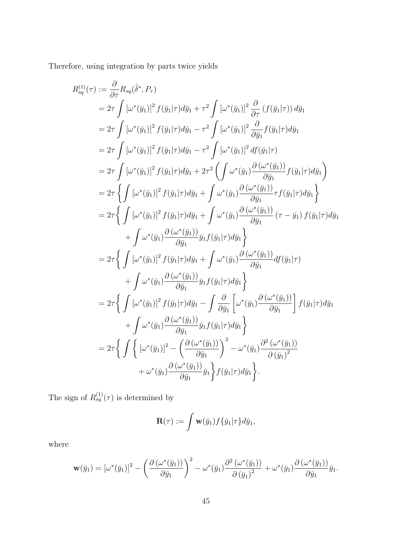Therefore, using integration by parts twice yields

$$
R_{sq}^{(1)}(\tau) := \frac{\partial}{\partial \tau} R_{sq}(\hat{\delta}^*, P_{\tau})
$$
  
\n
$$
= 2\tau \int [\omega^*(\bar{y}_1)]^2 f(\bar{y}_1|\tau) d\bar{y}_1 + \tau^2 \int [\omega^*(\bar{y}_1)]^2 \frac{\partial}{\partial \tau} (f(\bar{y}_1|\tau)) d\bar{y}_1
$$
  
\n
$$
= 2\tau \int [\omega^*(\bar{y}_1)]^2 f(\bar{y}_1|\tau) d\bar{y}_1 - \tau^2 \int [\omega^*(\bar{y}_1)]^2 \frac{\partial}{\partial \bar{y}_1} f(\bar{y}_1|\tau) d\bar{y}_1
$$
  
\n
$$
= 2\tau \int [\omega^*(\bar{y}_1)]^2 f(\bar{y}_1|\tau) d\bar{y}_1 - \tau^2 \int [\omega^*(\bar{y}_1)]^2 d\bar{f}(\bar{y}_1|\tau)
$$
  
\n
$$
= 2\tau \int [\omega^*(\bar{y}_1)]^2 f(\bar{y}_1|\tau) d\bar{y}_1 + 2\tau^2 \left( \int \omega^*(\bar{y}_1) \frac{\partial (\omega^*(\bar{y}_1))}{\partial \bar{y}_1} f(\bar{y}_1|\tau) d\bar{y}_1 \right)
$$
  
\n
$$
= 2\tau \left\{ \int [\omega^*(\bar{y}_1)]^2 f(\bar{y}_1|\tau) d\bar{y}_1 + \int \omega^*(\bar{y}_1) \frac{\partial (\omega^*(\bar{y}_1))}{\partial \bar{y}_1} \tau f(\bar{y}_1|\tau) d\bar{y}_1 \right\}
$$
  
\n
$$
= 2\tau \left\{ \int [\omega^*(\bar{y}_1)]^2 f(\bar{y}_1|\tau) d\bar{y}_1 + \int \omega^*(\bar{y}_1) \frac{\partial (\omega^*(\bar{y}_1))}{\partial \bar{y}_1} (\tau - \bar{y}_1) f(\bar{y}_1|\tau) d\bar{y}_1 \right\}
$$
  
\n
$$
+ \int \omega^*(\bar{y}_1) \frac{\partial (\omega^*(\bar{y}_1))}{\partial \bar{y}_1} \bar{y}_1 f(\bar{y}_1|\tau) d\bar{y}_1 \right\}
$$
  
\n

The sign of  $R_{sq}^{(1)}(\tau)$  is determined by

$$
\mathbf{R}(\tau) := \int \mathbf{w}(\bar{y}_1) f\{\bar{y}_1|\tau\} d\bar{y}_1,
$$

where

$$
\mathbf{w}(\bar{y}_1) = [\omega^*(\bar{y}_1)]^2 - \left(\frac{\partial (\omega^*(\bar{y}_1))}{\partial \bar{y}_1}\right)^2 - \omega^*(\bar{y}_1)\frac{\partial^2 (\omega^*(\bar{y}_1))}{\partial (\bar{y}_1)^2} + \omega^*(\bar{y}_1)\frac{\partial (\omega^*(\bar{y}_1))}{\partial \bar{y}_1}\bar{y}_1.
$$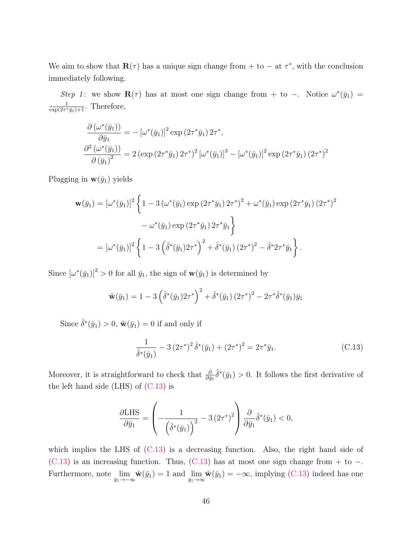We aim to show that  $\mathbf{R}(\tau)$  has a unique sign change from + to – at  $\tau^*$ , with the conclusion immediately following.

Step 1: we show  $\mathbf{R}(\tau)$  has at most one sign change from + to -. Notice  $\omega^*(\bar{y}_1)$  = 1  $\frac{1}{\exp(2\tau^*\bar{y}_1)+1}$ . Therefore,

$$
\frac{\partial (\omega^*(\bar{y}_1))}{\partial \bar{y}_1} = -[\omega^*(\bar{y}_1)]^2 \exp(2\tau^*\bar{y}_1) 2\tau^*,
$$
  

$$
\frac{\partial^2 (\omega^*(\bar{y}_1))}{\partial (\bar{y}_1)^2} = 2 (\exp(2\tau^*\bar{y}_1) 2\tau^*)^2 [\omega^*(\bar{y}_1)]^3 - [\omega^*(\bar{y}_1)]^2 \exp(2\tau^*\bar{y}_1) (2\tau^*)^2
$$

Plugging in  $\mathbf{w}(\bar{y}_1)$  yields

$$
\mathbf{w}(\bar{y}_1) = [\omega^*(\bar{y}_1)]^2 \left\{ 1 - 3 \left( \omega^*(\bar{y}_1) \exp(2\tau^*\bar{y}_1) 2\tau^* \right)^2 + \omega^*(\bar{y}_1) \exp(2\tau^*\bar{y}_1) (2\tau^*)^2 - \omega^*(\bar{y}_1) \exp(2\tau^*\bar{y}_1) 2\tau^*\bar{y}_1 \right\}
$$
  
= 
$$
[\omega^*(\bar{y}_1)]^2 \left\{ 1 - 3 \left( \hat{\delta}^*(\bar{y}_1) 2\tau^* \right)^2 + \hat{\delta}^*(\bar{y}_1) (2\tau^*)^2 - \hat{\delta}^* 2\tau^* \bar{y}_1 \right\}.
$$

Since  $[\omega^*(\bar{y}_1)]^2 > 0$  for all  $\bar{y}_1$ , the sign of  $\mathbf{w}(\bar{y}_1)$  is determined by

$$
\tilde{\mathbf{w}}(\bar{y}_1) = 1 - 3\left(\hat{\delta}^*(\bar{y}_1)2\tau^*\right)^2 + \hat{\delta}^*(\bar{y}_1)(2\tau^*)^2 - 2\tau^*\hat{\delta}^*(\bar{y}_1)\bar{y}_1
$$

Since  $\hat{\delta}^*(\bar{y}_1) > 0$ ,  $\tilde{\mathbf{w}}(\bar{y}_1) = 0$  if and only if

<span id="page-45-0"></span>
$$
\frac{1}{\hat{\delta}^*(\bar{y}_1)} - 3(2\tau^*)^2 \hat{\delta}^*(\bar{y}_1) + (2\tau^*)^2 = 2\tau^*\bar{y}_1.
$$
 (C.13)

Moreover, it is straightforward to check that  $\frac{\partial}{\partial \bar{y}_1}\hat{\delta}^*(\bar{y}_1) > 0$ . It follows the first derivative of the left hand side (LHS) of [\(C.13\)](#page-45-0) is

$$
\frac{\partial \text{LHS}}{\partial \bar{y}_1} = \left( -\frac{1}{\left( \hat{\delta}^*(\bar{y}_1) \right)^2} - 3 \left( 2\tau^* \right)^2 \right) \frac{\partial}{\partial \bar{y}_1} \hat{\delta}^*(\bar{y}_1) < 0,
$$

which implies the LHS of  $(C.13)$  is a decreasing function. Also, the right hand side of [\(C.13\)](#page-45-0) is an increasing function. Thus, (C.13) has at most one sign change from + to  $-$ . Furthermore, note  $\lim_{\bar{y}_1 \to -\infty} \tilde{\mathbf{w}}(\bar{y}_1) = 1$  and  $\lim_{\bar{y}_1 \to \infty} \tilde{\mathbf{w}}(\bar{y}_1) = -\infty$ , implying [\(C.13\)](#page-45-0) indeed has one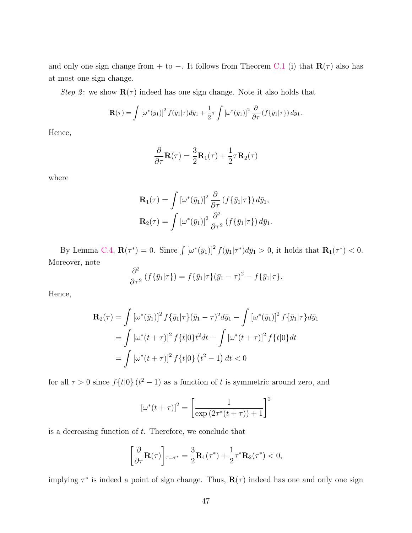and only one sign change from + to −. It follows from Theorem [C.1](#page-47-1) (i) that  $\mathbf{R}(\tau)$  also has at most one sign change.

Step 2: we show  $\mathbf{R}(\tau)$  indeed has one sign change. Note it also holds that

$$
\mathbf{R}(\tau) = \int \left[\omega^*(\bar{y}_1)\right]^2 f(\bar{y}_1|\tau) d\bar{y}_1 + \frac{1}{2}\tau \int \left[\omega^*(\bar{y}_1)\right]^2 \frac{\partial}{\partial \tau} \left(f\{\bar{y}_1|\tau\}\right) d\bar{y}_1.
$$

Hence,

$$
\frac{\partial}{\partial \tau} \mathbf{R}(\tau) = \frac{3}{2} \mathbf{R}_1(\tau) + \frac{1}{2} \tau \mathbf{R}_2(\tau)
$$

where

$$
\mathbf{R}_1(\tau) = \int \left[\omega^*(\bar{y}_1)\right]^2 \frac{\partial}{\partial \tau} \left(f\{\bar{y}_1|\tau\}\right) d\bar{y}_1,
$$
  

$$
\mathbf{R}_2(\tau) = \int \left[\omega^*(\bar{y}_1)\right]^2 \frac{\partial^2}{\partial \tau^2} \left(f\{\bar{y}_1|\tau\}\right) d\bar{y}_1.
$$

By Lemma [C.4,](#page-41-3)  $\mathbf{R}(\tau^*) = 0$ . Since  $\int [\omega^*(\bar{y}_1)]^2 f(\bar{y}_1|\tau^*) d\bar{y}_1 > 0$ , it holds that  $\mathbf{R}_1(\tau^*) < 0$ . Moreover, note

$$
\frac{\partial^2}{\partial \tau^2} (f\{\bar{y}_1|\tau\}) = f\{\bar{y}_1|\tau\} (\bar{y}_1 - \tau)^2 - f\{\bar{y}_1|\tau\}.
$$

Hence,

$$
\mathbf{R}_{2}(\tau) = \int \left[\omega^{*}(\bar{y}_{1})\right]^{2} f\{\bar{y}_{1}|\tau\} (\bar{y}_{1} - \tau)^{2} d\bar{y}_{1} - \int \left[\omega^{*}(\bar{y}_{1})\right]^{2} f\{\bar{y}_{1}|\tau\} d\bar{y}_{1}
$$

$$
= \int \left[\omega^{*}(t + \tau)\right]^{2} f\{t|0\} t^{2} dt - \int \left[\omega^{*}(t + \tau)\right]^{2} f\{t|0\} dt
$$

$$
= \int \left[\omega^{*}(t + \tau)\right]^{2} f\{t|0\} (t^{2} - 1) dt < 0
$$

for all  $\tau > 0$  since  $f\{t|0\}$  ( $t^2 - 1$ ) as a function of t is symmetric around zero, and

$$
[\omega^*(t+\tau)]^2 = \left[\frac{1}{\exp(2\tau^*(t+\tau))+1}\right]^2
$$

is a decreasing function of  $t$ . Therefore, we conclude that

$$
\left[\frac{\partial}{\partial \tau} \mathbf{R}(\tau)\right]_{\tau=\tau^*} = \frac{3}{2} \mathbf{R}_1(\tau^*) + \frac{1}{2} \tau^* \mathbf{R}_2(\tau^*) < 0,
$$

implying  $\tau^*$  is indeed a point of sign change. Thus,  $\mathbf{R}(\tau)$  indeed has one and only one sign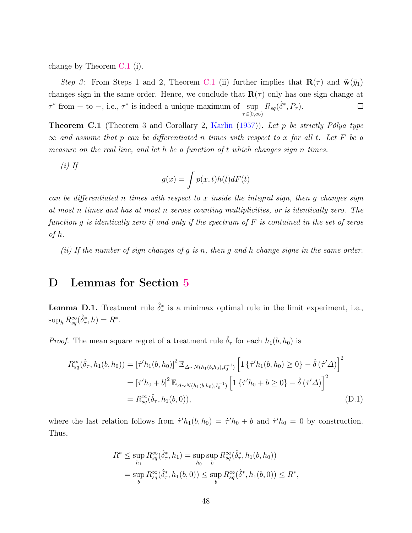change by Theorem [C.1](#page-47-1) (i).

Step 3: From Steps 1 and 2, Theorem [C.1](#page-47-1) (ii) further implies that  $\mathbf{R}(\tau)$  and  $\tilde{\mathbf{w}}(\bar{y}_1)$ changes sign in the same order. Hence, we conclude that  $\mathbf{R}(\tau)$  only has one sign change at  $R_{sq}(\hat{\delta}^*, P_{\tau}).$  $\tau^*$  from + to -, i.e.,  $\tau^*$  is indeed a unique maximum of sup  $\Box$  $\tau \in [0,\infty)$ 

<span id="page-47-1"></span>**Theorem C.1** (Theorem 3 and Corollary 2, [Karlin](#page-50-14)  $(1957)$ ). Let p be strictly Pólya type  $\infty$  and assume that p can be differentiated n times with respect to x for all t. Let F be a measure on the real line, and let h be a function of t which changes sign n times.

 $(i)$  If

$$
g(x) = \int p(x, t)h(t)dF(t)
$$

can be differentiated n times with respect to x inside the integral sign, then g changes sign at most n times and has at most n zeroes counting multiplicities, or is identically zero. The function g is identically zero if and only if the spectrum of  $F$  is contained in the set of zeros of h.

(ii) If the number of sign changes of  $g$  is  $n$ , then  $g$  and  $h$  change signs in the same order.

# D Lemmas for Section [5](#page-17-0)

<span id="page-47-0"></span>**Lemma D.1.** Treatment rule  $\hat{\delta}^*_{\tau}$  is a minimax optimal rule in the limit experiment, i.e.,  $\sup_h R_{sq}^{\infty}(\hat{\delta}_{\tau}^*, h) = R^*.$ 

*Proof.* The mean square regret of a treatment rule  $\hat{\delta}_{\tau}$  for each  $h_1(b, h_0)$  is

$$
R_{sq}^{\infty}(\hat{\delta}_{\tau}, h_{1}(b, h_{0})) = [\dot{\tau}' h_{1}(b, h_{0})]^{2} \mathbb{E}_{\Delta \sim N(h_{1}(b, h_{0}), I_{0}^{-1})} \left[ 1 \{ \dot{\tau}' h_{1}(b, h_{0}) \ge 0 \} - \hat{\delta} (\dot{\tau}' \Delta) \right]^{2}
$$
  
\n
$$
= [\dot{\tau}' h_{0} + b]^{2} \mathbb{E}_{\Delta \sim N(h_{1}(b, h_{0}), I_{0}^{-1})} \left[ 1 \{ \dot{\tau}' h_{0} + b \ge 0 \} - \hat{\delta} (\dot{\tau}' \Delta) \right]^{2}
$$
  
\n
$$
= R_{sq}^{\infty}(\hat{\delta}_{\tau}, h_{1}(b, 0)), \tag{D.1}
$$

where the last relation follows from  $\dot{\tau}' h_1(b, h_0) = \dot{\tau}' h_0 + b$  and  $\dot{\tau}' h_0 = 0$  by construction. Thus,

<span id="page-47-2"></span>
$$
R^* \le \sup_{h_1} R_{sq}^{\infty}(\hat{\delta}_{\tau}^*, h_1) = \sup_{h_0} \sup_b R_{sq}^{\infty}(\hat{\delta}_{\tau}^*, h_1(b, h_0))
$$
  
= 
$$
\sup_b R_{sq}^{\infty}(\hat{\delta}_{\tau}^*, h_1(b, 0)) \le \sup_b R_{sq}^{\infty}(\hat{\delta}^*, h_1(b, 0)) \le R^*,
$$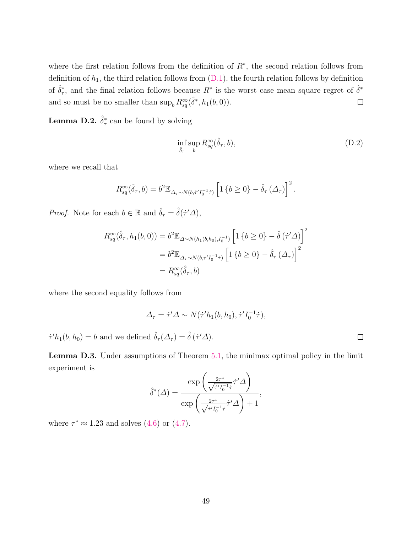where the first relation follows from the definition of  $R^*$ , the second relation follows from definition of  $h_1$ , the third relation follows from  $(D.1)$ , the fourth relation follows by definition of  $\hat{\delta}^*_{\tau}$ , and the final relation follows because  $R^*$  is the worst case mean square regret of  $\hat{\delta}^*$ and so must be no smaller than  $\sup_b R_{sq}^{\infty}(\hat{\delta}^*, h_1(b, 0)).$  $\Box$ 

<span id="page-48-0"></span>**Lemma D.2.**  $\hat{\delta}^*_{\tau}$  can be found by solving

$$
\inf_{\hat{\delta}_{\tau}} \sup_{b} R_{sq}^{\infty}(\hat{\delta}_{\tau}, b), \tag{D.2}
$$

 $\Box$ 

where we recall that

$$
R_{sq}^{\infty}(\hat{\delta}_{\tau},b) = b^2 \mathbb{E}_{\Delta_{\tau} \sim N(b,\dot{\tau}^{\prime}I_0^{-1}\dot{\tau})} \left[1\left\{b \ge 0\right\} - \hat{\delta}_{\tau}\left(\Delta_{\tau}\right)\right]^2.
$$

*Proof.* Note for each  $b \in \mathbb{R}$  and  $\hat{\delta}_{\tau} = \hat{\delta}(\dot{\tau}' \Delta)$ ,

$$
R_{sq}^{\infty}(\hat{\delta}_{\tau}, h_1(b, 0)) = b^2 \mathbb{E}_{\Delta \sim N(h_1(b, h_0), I_0^{-1})} \left[ 1 \left\{ b \ge 0 \right\} - \hat{\delta} \left( \dot{\tau}' \Delta \right) \right]^2
$$
  

$$
= b^2 \mathbb{E}_{\Delta_{\tau} \sim N(b, \dot{\tau}' I_0^{-1} \dot{\tau})} \left[ 1 \left\{ b \ge 0 \right\} - \hat{\delta}_{\tau} \left( \Delta_{\tau} \right) \right]^2
$$
  

$$
= R_{sq}^{\infty}(\hat{\delta}_{\tau}, b)
$$

where the second equality follows from

$$
\Delta_{\tau} = \dot{\tau}' \Delta \sim N(\dot{\tau}' h_1(b, h_0), \dot{\tau}' I_0^{-1} \dot{\tau}),
$$

 $\dot{\tau}' h_1(b, h_0) = b$  and we defined  $\hat{\delta}_{\tau}(\Delta_{\tau}) = \hat{\delta}(\dot{\tau}' \Delta)$ .

<span id="page-48-1"></span>Lemma D.3. Under assumptions of Theorem [5.1,](#page-20-1) the minimax optimal policy in the limit experiment is

$$
\hat{\delta}^*(\Delta) = \frac{\exp\left(\frac{2\tau^*}{\sqrt{\dot{\tau}'I_0^{-1}\dot{\tau}}}\dot{\tau}'\Delta\right)}{\exp\left(\frac{2\tau^*}{\sqrt{\dot{\tau}'I_0^{-1}\dot{\tau}}}\dot{\tau}'\Delta\right) + 1},
$$

where  $\tau^* \approx 1.23$  and solves [\(4.6\)](#page-15-2) or [\(4.7\)](#page-15-3).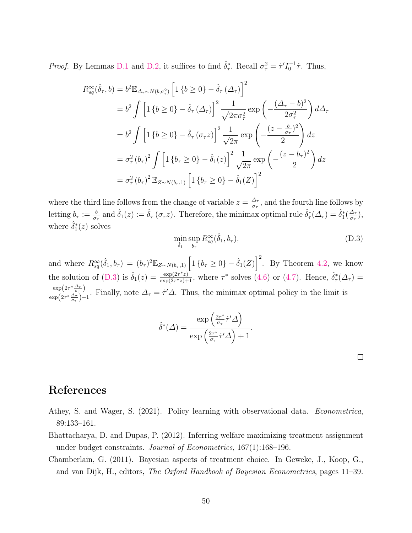*Proof.* By Lemmas [D.1](#page-47-0) and [D.2,](#page-48-0) it suffices to find  $\hat{\delta}^*_{\tau}$ . Recall  $\sigma^2_{\tau} = \dot{\tau}^I I_0^{-1} \dot{\tau}$ . Thus,

$$
R_{sq}^{\infty}(\hat{\delta}_{\tau},b) = b^{2} \mathbb{E}_{\Delta_{\tau} \sim N(b,\sigma_{\tau}^{2})} \left[ 1 \left\{ b \ge 0 \right\} - \hat{\delta}_{\tau} \left( \Delta_{\tau} \right) \right]^{2}
$$
  
\n
$$
= b^{2} \int \left[ 1 \left\{ b \ge 0 \right\} - \hat{\delta}_{\tau} \left( \Delta_{\tau} \right) \right]^{2} \frac{1}{\sqrt{2\pi\sigma_{\tau}^{2}}} \exp\left( -\frac{(\Delta_{\tau} - b)^{2}}{2\sigma_{\tau}^{2}} \right) d\Delta_{\tau}
$$
  
\n
$$
= b^{2} \int \left[ 1 \left\{ b \ge 0 \right\} - \hat{\delta}_{\tau} \left( \sigma_{\tau} z \right) \right]^{2} \frac{1}{\sqrt{2\pi}} \exp\left( -\frac{(z - \frac{b}{\sigma_{\tau}})^{2}}{2} \right) dz
$$
  
\n
$$
= \sigma_{\tau}^{2} (b_{\tau})^{2} \int \left[ 1 \left\{ b_{\tau} \ge 0 \right\} - \hat{\delta}_{1}(z) \right]^{2} \frac{1}{\sqrt{2\pi}} \exp\left( -\frac{(z - b_{\tau})^{2}}{2} \right) dz
$$
  
\n
$$
= \sigma_{\tau}^{2} (b_{\tau})^{2} \mathbb{E}_{Z \sim N(b_{\tau}, 1)} \left[ 1 \left\{ b_{\tau} \ge 0 \right\} - \hat{\delta}_{1}(Z) \right]^{2}
$$

where the third line follows from the change of variable  $z = \frac{\Delta_{\tau}}{\sigma}$  $\frac{\Delta_{\tau}}{\sigma_{\tau}}$ , and the fourth line follows by letting  $b_{\tau} := \frac{b}{\sigma_{\tau}}$  and  $\hat{\delta}_1(z) := \hat{\delta}_{\tau}(\sigma_{\tau}z)$ . Therefore, the minimax optimal rule  $\hat{\delta}_{\tau}^*(\Delta_{\tau}) = \hat{\delta}_1^*(\frac{\Delta_{\tau}}{\sigma_{\tau}})$  $\frac{\Delta_{\tau}}{\sigma_{\tau}}\big),$ where  $\hat{\delta}_1^*(z)$  solves

<span id="page-49-3"></span>
$$
\min_{\hat{\delta}_1} \sup_{b_{\tau}} R_{sq}^{\infty}(\hat{\delta}_1, b_{\tau}), \tag{D.3}
$$

and where  $R_{sq}^{\infty}(\hat{\delta}_1, b_{\tau}) = (b_{\tau})^2 \mathbb{E}_{Z \sim N(b_{\tau},1)} \left[ 1 \{ b_{\tau} \geq 0 \} - \hat{\delta}_1(Z) \right]^2$ . By Theorem [4.2,](#page-15-1) we know the solution of [\(D.3\)](#page-49-3) is  $\hat{\delta}_1(z) = \frac{\exp(2\tau^*z)}{\exp(2\tau^*z)}$  $\frac{\exp(2\tau^*z)}{\exp(2\tau^*z)+1}$ , where  $\tau^*$  solves [\(4.6\)](#page-15-2) or [\(4.7\)](#page-15-3). Hence,  $\hat{\delta}^*_{\tau}(\Delta_{\tau})=$  $\exp\left(2\tau^*\frac{\varDelta_{\tau}}{\sigma_{\tau}}\right)$  $\frac{\exp(2\tau \frac{\sigma}{\sigma_{\tau}})}{\exp(2\tau \frac{\Delta_{\tau}}{\sigma_{\tau}})+1}$ . Finally, note  $\Delta_{\tau} = \dot{\tau}' \Delta$ . Thus, the minimax optimal policy in the limit is

$$
\hat{\delta}^*(\Delta) = \frac{\exp\left(\frac{2\tau^*}{\sigma_{\tau}}\dot{\tau}'\Delta\right)}{\exp\left(\frac{2\tau^*}{\sigma_{\tau}}\dot{\tau}'\Delta\right) + 1}.
$$

# References

- <span id="page-49-2"></span>Athey, S. and Wager, S. (2021). Policy learning with observational data. Econometrica, 89:133–161.
- <span id="page-49-1"></span>Bhattacharya, D. and Dupas, P. (2012). Inferring welfare maximizing treatment assignment under budget constraints. Journal of Econometrics, 167(1):168–196.
- <span id="page-49-0"></span>Chamberlain, G. (2011). Bayesian aspects of treatment choice. In Geweke, J., Koop, G., and van Dijk, H., editors, The Oxford Handbook of Bayesian Econometrics, pages 11–39.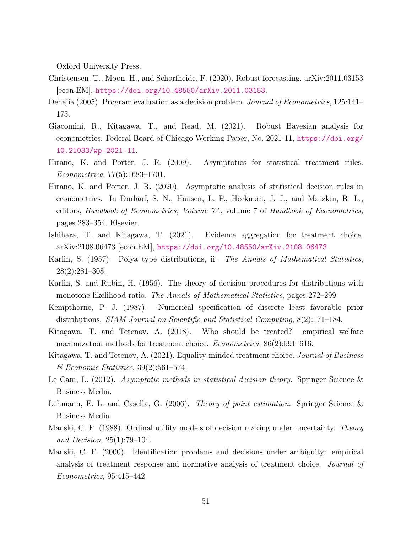Oxford University Press.

- <span id="page-50-7"></span>Christensen, T., Moon, H., and Schorfheide, F. (2020). Robust forecasting. arXiv:2011.03153 [econ.EM], <https://doi.org/10.48550/arXiv.2011.03153>.
- <span id="page-50-6"></span>Dehejia (2005). Program evaluation as a decision problem. Journal of Econometrics, 125:141– 173.
- <span id="page-50-8"></span>Giacomini, R., Kitagawa, T., and Read, M. (2021). Robust Bayesian analysis for econometrics. Federal Board of Chicago Working Paper, No. 2021-11, [https://doi.org/](https://doi.org/10.21033/wp-2021-11) [10.21033/wp-2021-11](https://doi.org/10.21033/wp-2021-11).
- <span id="page-50-1"></span>Hirano, K. and Porter, J. R. (2009). Asymptotics for statistical treatment rules. Econometrica, 77(5):1683–1701.
- <span id="page-50-2"></span>Hirano, K. and Porter, J. R. (2020). Asymptotic analysis of statistical decision rules in econometrics. In Durlauf, S. N., Hansen, L. P., Heckman, J. J., and Matzkin, R. L., editors, Handbook of Econometrics, Volume 7A, volume 7 of Handbook of Econometrics, pages 283–354. Elsevier.
- <span id="page-50-0"></span>Ishihara, T. and Kitagawa, T. (2021). Evidence aggregation for treatment choice. arXiv:2108.06473 [econ.EM], <https://doi.org/10.48550/arXiv.2108.06473>.
- <span id="page-50-14"></span>Karlin, S. (1957). Pólya type distributions, ii. The Annals of Mathematical Statistics, 28(2):281–308.
- <span id="page-50-11"></span>Karlin, S. and Rubin, H. (1956). The theory of decision procedures for distributions with monotone likelihood ratio. The Annals of Mathematical Statistics, pages 272–299.
- <span id="page-50-13"></span>Kempthorne, P. J. (1987). Numerical specification of discrete least favorable prior distributions. SIAM Journal on Scientific and Statistical Computing, 8(2):171–184.
- <span id="page-50-9"></span>Kitagawa, T. and Tetenov, A. (2018). Who should be treated? empirical welfare maximization methods for treatment choice. Econometrica, 86(2):591–616.
- <span id="page-50-10"></span>Kitagawa, T. and Tetenov, A. (2021). Equality-minded treatment choice. Journal of Business  $\mathscr$ *Economic Statistics*, 39(2):561–574.
- <span id="page-50-4"></span>Le Cam, L. (2012). Asymptotic methods in statistical decision theory. Springer Science & Business Media.
- <span id="page-50-12"></span>Lehmann, E. L. and Casella, G. (2006). *Theory of point estimation*. Springer Science & Business Media.
- <span id="page-50-5"></span>Manski, C. F. (1988). Ordinal utility models of decision making under uncertainty. *Theory* and Decision, 25(1):79–104.
- <span id="page-50-3"></span>Manski, C. F. (2000). Identification problems and decisions under ambiguity: empirical analysis of treatment response and normative analysis of treatment choice. Journal of Econometrics, 95:415–442.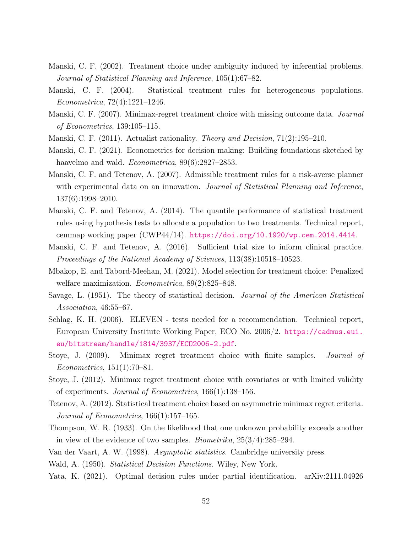- <span id="page-51-14"></span>Manski, C. F. (2002). Treatment choice under ambiguity induced by inferential problems. Journal of Statistical Planning and Inference, 105(1):67–82.
- <span id="page-51-1"></span>Manski, C. F. (2004). Statistical treatment rules for heterogeneous populations. Econometrica, 72(4):1221–1246.
- <span id="page-51-10"></span>Manski, C. F. (2007). Minimax-regret treatment choice with missing outcome data. Journal of Econometrics, 139:105–115.
- <span id="page-51-13"></span><span id="page-51-9"></span>Manski, C. F. (2011). Actualist rationality. Theory and Decision, 71(2):195–210.
- Manski, C. F. (2021). Econometrics for decision making: Building foundations sketched by haavelmo and wald. *Econometrica*, 89(6):2827–2853.
- <span id="page-51-11"></span>Manski, C. F. and Tetenov, A. (2007). Admissible treatment rules for a risk-averse planner with experimental data on an innovation. Journal of Statistical Planning and Inference, 137(6):1998–2010.
- <span id="page-51-8"></span>Manski, C. F. and Tetenov, A. (2014). The quantile performance of statistical treatment rules using hypothesis tests to allocate a population to two treatments. Technical report, cemmap working paper (CWP44/14). <https://doi.org/10.1920/wp.cem.2014.4414>.
- <span id="page-51-17"></span>Manski, C. F. and Tetenov, A. (2016). Sufficient trial size to inform clinical practice. Proceedings of the National Academy of Sciences, 113(38):10518–10523.
- <span id="page-51-15"></span>Mbakop, E. and Tabord-Meehan, M. (2021). Model selection for treatment choice: Penalized welfare maximization. *Econometrica*,  $89(2):825-848$ .
- <span id="page-51-2"></span>Savage, L. (1951). The theory of statistical decision. Journal of the American Statistical Association, 46:55–67.
- <span id="page-51-3"></span>Schlag, K. H. (2006). ELEVEN - tests needed for a recommendation. Technical report, European University Institute Working Paper, ECO No. 2006/2. [https://cadmus.eui.](https://cadmus.eui.eu/bitstream/handle/1814/3937/ECO2006-2.pdf) [eu/bitstream/handle/1814/3937/ECO2006-2.pdf](https://cadmus.eui.eu/bitstream/handle/1814/3937/ECO2006-2.pdf).
- <span id="page-51-4"></span>Stoye, J. (2009). Minimax regret treatment choice with finite samples. Journal of Econometrics, 151(1):70–81.
- <span id="page-51-5"></span>Stoye, J. (2012). Minimax regret treatment choice with covariates or with limited validity of experiments. Journal of Econometrics, 166(1):138–156.
- <span id="page-51-6"></span>Tetenov, A. (2012). Statistical treatment choice based on asymmetric minimax regret criteria. Journal of Econometrics, 166(1):157–165.
- <span id="page-51-12"></span>Thompson, W. R. (1933). On the likelihood that one unknown probability exceeds another in view of the evidence of two samples. *Biometrika*,  $25(3/4):285-294$ .
- <span id="page-51-16"></span><span id="page-51-0"></span>Van der Vaart, A. W. (1998). Asymptotic statistics. Cambridge university press.
- <span id="page-51-7"></span>Wald, A. (1950). Statistical Decision Functions. Wiley, New York.
- Yata, K. (2021). Optimal decision rules under partial identification. arXiv:2111.04926